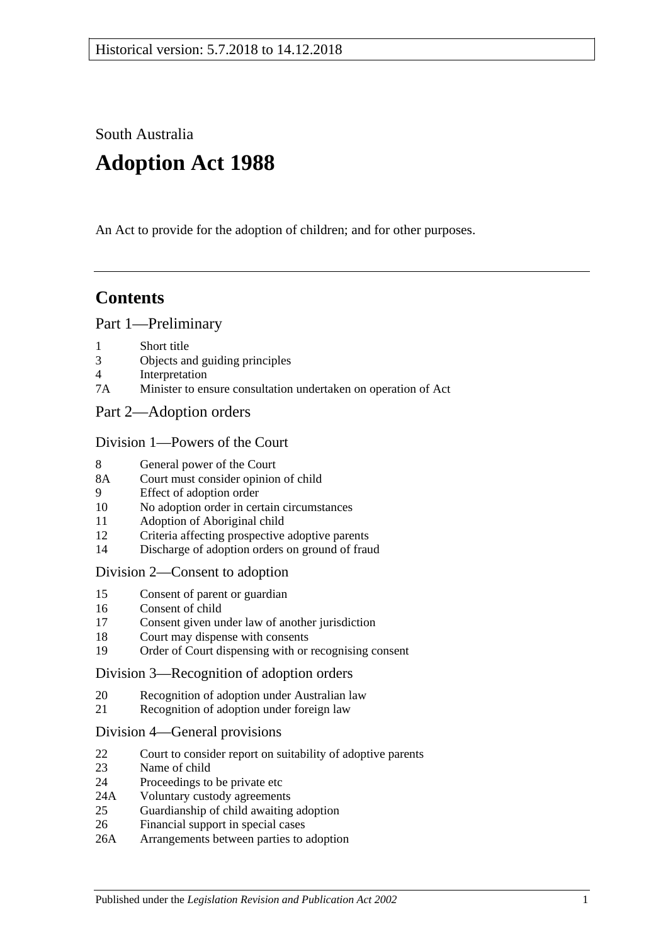South Australia

# **Adoption Act 1988**

An Act to provide for the adoption of children; and for other purposes.

# **Contents**

## [Part 1—Preliminary](#page-1-0)

- 1 [Short title](#page-1-1)
- 3 [Objects and guiding principles](#page-1-2)
- 4 [Interpretation](#page-2-0)
- 7A [Minister to ensure consultation undertaken on operation of Act](#page-4-0)
- [Part 2—Adoption orders](#page-4-1)

## [Division 1—Powers of the Court](#page-4-2)

- 8 [General power of the Court](#page-4-3)
- 8A [Court must consider opinion of child](#page-4-4)
- 9 [Effect of adoption order](#page-4-5)
- 10 [No adoption order in certain circumstances](#page-5-0)
- 11 [Adoption of Aboriginal child](#page-5-1)
- 12 [Criteria affecting prospective adoptive parents](#page-5-2)
- 14 [Discharge of adoption orders on ground of fraud](#page-6-0)

## [Division 2—Consent to adoption](#page-6-1)

- 15 [Consent of parent or guardian](#page-6-2)
- 16 [Consent of child](#page-8-0)
- 17 [Consent given under law of another jurisdiction](#page-8-1)
- 18 [Court may dispense with consents](#page-8-2)
- 19 [Order of Court dispensing with or recognising consent](#page-9-0)

## [Division 3—Recognition of adoption orders](#page-9-1)

- 20 [Recognition of adoption under Australian law](#page-9-2)
- 21 [Recognition of adoption under foreign law](#page-9-3)

## [Division 4—General provisions](#page-10-0)

- 22 [Court to consider report on suitability of adoptive parents](#page-10-1)
- 23 [Name of child](#page-10-2)
- 24 [Proceedings to be private etc](#page-10-3)
- 24A [Voluntary custody agreements](#page-10-4)
- 25 [Guardianship of child awaiting adoption](#page-11-0)
- 26 [Financial support in special cases](#page-12-0)
- 26A [Arrangements between parties to adoption](#page-12-1)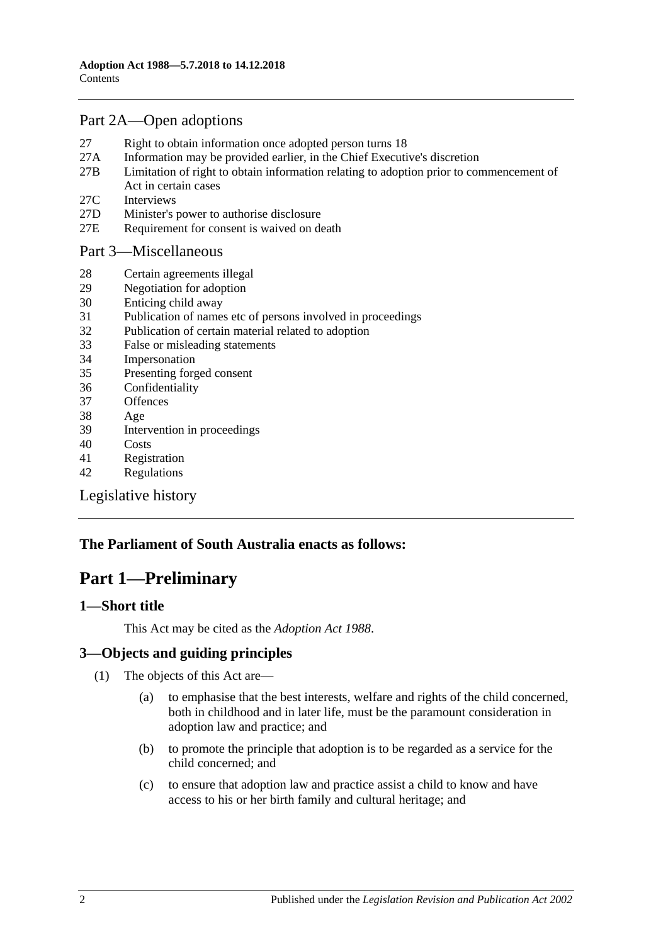## [Part 2A—Open adoptions](#page-13-0)

- 27 [Right to obtain information once adopted person turns 18](#page-13-1)
- 27A [Information may be provided earlier, in the Chief Executive's discretion](#page-14-0)
- 27B [Limitation of right to obtain information relating to adoption prior to commencement of](#page-14-1)  [Act in certain cases](#page-14-1)
- 27C [Interviews](#page-15-0)
- 27D [Minister's power to authorise disclosure](#page-15-1)
- 27E [Requirement for consent is waived on death](#page-15-2)

## [Part 3—Miscellaneous](#page-15-3)

- 28 [Certain agreements illegal](#page-15-4)
- 29 [Negotiation for adoption](#page-15-5)
- 30 [Enticing child away](#page-16-0)
- 31 [Publication of names etc of persons involved in proceedings](#page-16-1)
- 32 [Publication of certain material related to adoption](#page-17-0)
- 33 [False or misleading statements](#page-17-1)
- 34 [Impersonation](#page-17-2)
- 35 [Presenting forged consent](#page-17-3)
- 36 [Confidentiality](#page-17-4)
- 37 [Offences](#page-17-5)
- 38 [Age](#page-18-0)
- 39 [Intervention in proceedings](#page-18-1)
- 40 [Costs](#page-18-2)
- 41 [Registration](#page-18-3)
- 42 [Regulations](#page-19-0)

[Legislative history](#page-21-0)

## <span id="page-1-0"></span>**The Parliament of South Australia enacts as follows:**

# **Part 1—Preliminary**

## <span id="page-1-1"></span>**1—Short title**

This Act may be cited as the *Adoption Act 1988*.

## <span id="page-1-2"></span>**3—Objects and guiding principles**

- (1) The objects of this Act are—
	- (a) to emphasise that the best interests, welfare and rights of the child concerned, both in childhood and in later life, must be the paramount consideration in adoption law and practice; and
	- (b) to promote the principle that adoption is to be regarded as a service for the child concerned; and
	- (c) to ensure that adoption law and practice assist a child to know and have access to his or her birth family and cultural heritage; and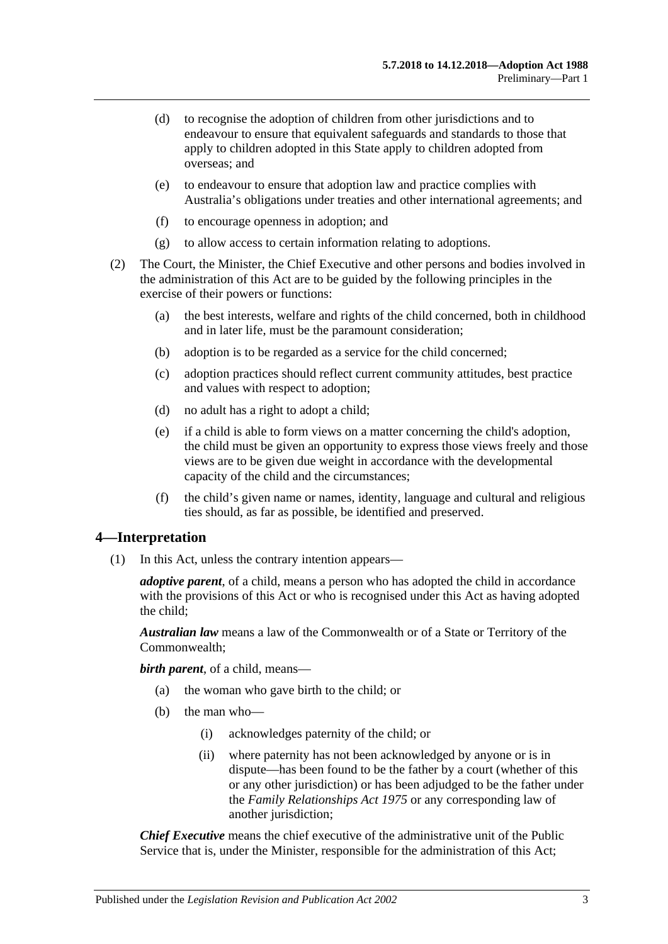- (d) to recognise the adoption of children from other jurisdictions and to endeavour to ensure that equivalent safeguards and standards to those that apply to children adopted in this State apply to children adopted from overseas; and
- (e) to endeavour to ensure that adoption law and practice complies with Australia's obligations under treaties and other international agreements; and
- (f) to encourage openness in adoption; and
- (g) to allow access to certain information relating to adoptions.
- (2) The Court, the Minister, the Chief Executive and other persons and bodies involved in the administration of this Act are to be guided by the following principles in the exercise of their powers or functions:
	- (a) the best interests, welfare and rights of the child concerned, both in childhood and in later life, must be the paramount consideration;
	- (b) adoption is to be regarded as a service for the child concerned;
	- (c) adoption practices should reflect current community attitudes, best practice and values with respect to adoption;
	- (d) no adult has a right to adopt a child;
	- (e) if a child is able to form views on a matter concerning the child's adoption, the child must be given an opportunity to express those views freely and those views are to be given due weight in accordance with the developmental capacity of the child and the circumstances;
	- (f) the child's given name or names, identity, language and cultural and religious ties should, as far as possible, be identified and preserved.

## <span id="page-2-0"></span>**4—Interpretation**

(1) In this Act, unless the contrary intention appears—

*adoptive parent*, of a child, means a person who has adopted the child in accordance with the provisions of this Act or who is recognised under this Act as having adopted the child;

*Australian law* means a law of the Commonwealth or of a State or Territory of the Commonwealth;

*birth parent*, of a child, means—

- (a) the woman who gave birth to the child; or
- (b) the man who—
	- (i) acknowledges paternity of the child; or
	- (ii) where paternity has not been acknowledged by anyone or is in dispute—has been found to be the father by a court (whether of this or any other jurisdiction) or has been adjudged to be the father under the *[Family Relationships Act](http://www.legislation.sa.gov.au/index.aspx?action=legref&type=act&legtitle=Family%20Relationships%20Act%201975) 1975* or any corresponding law of another jurisdiction;

*Chief Executive* means the chief executive of the administrative unit of the Public Service that is, under the Minister, responsible for the administration of this Act;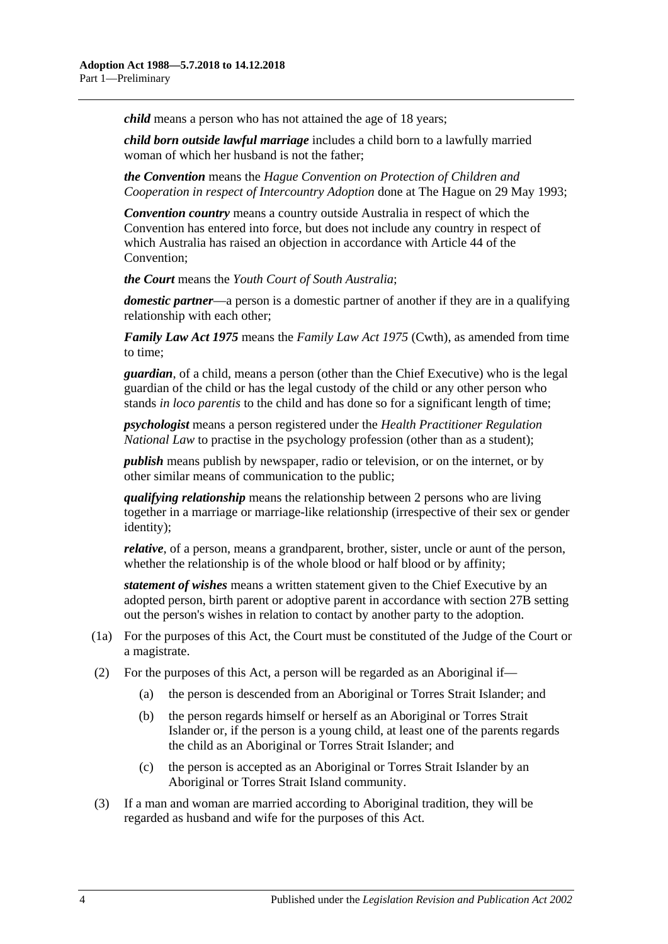*child* means a person who has not attained the age of 18 years;

*child born outside lawful marriage* includes a child born to a lawfully married woman of which her husband is not the father;

*the Convention* means the *Hague Convention on Protection of Children and Cooperation in respect of Intercountry Adoption* done at The Hague on 29 May 1993;

*Convention country* means a country outside Australia in respect of which the Convention has entered into force, but does not include any country in respect of which Australia has raised an objection in accordance with Article 44 of the Convention;

*the Court* means the *Youth Court of South Australia*;

*domestic partner*—a person is a domestic partner of another if they are in a qualifying relationship with each other;

*Family Law Act 1975* means the *Family Law Act 1975* (Cwth), as amended from time to time;

*guardian*, of a child, means a person (other than the Chief Executive) who is the legal guardian of the child or has the legal custody of the child or any other person who stands *in loco parentis* to the child and has done so for a significant length of time;

*psychologist* means a person registered under the *[Health Practitioner Regulation](http://www.legislation.sa.gov.au/index.aspx?action=legref&type=act&legtitle=Health%20Practitioner%20Regulation%20National%20Law)  [National Law](http://www.legislation.sa.gov.au/index.aspx?action=legref&type=act&legtitle=Health%20Practitioner%20Regulation%20National%20Law)* to practise in the psychology profession (other than as a student);

*publish* means publish by newspaper, radio or television, or on the internet, or by other similar means of communication to the public;

*qualifying relationship* means the relationship between 2 persons who are living together in a marriage or marriage-like relationship (irrespective of their sex or gender identity);

*relative*, of a person, means a grandparent, brother, sister, uncle or aunt of the person, whether the relationship is of the whole blood or half blood or by affinity;

*statement of wishes* means a written statement given to the Chief Executive by an adopted person, birth parent or adoptive parent in accordance wit[h section](#page-14-1) 27B setting out the person's wishes in relation to contact by another party to the adoption.

- (1a) For the purposes of this Act, the Court must be constituted of the Judge of the Court or a magistrate.
- (2) For the purposes of this Act, a person will be regarded as an Aboriginal if—
	- (a) the person is descended from an Aboriginal or Torres Strait Islander; and
	- (b) the person regards himself or herself as an Aboriginal or Torres Strait Islander or, if the person is a young child, at least one of the parents regards the child as an Aboriginal or Torres Strait Islander; and
	- (c) the person is accepted as an Aboriginal or Torres Strait Islander by an Aboriginal or Torres Strait Island community.
- (3) If a man and woman are married according to Aboriginal tradition, they will be regarded as husband and wife for the purposes of this Act.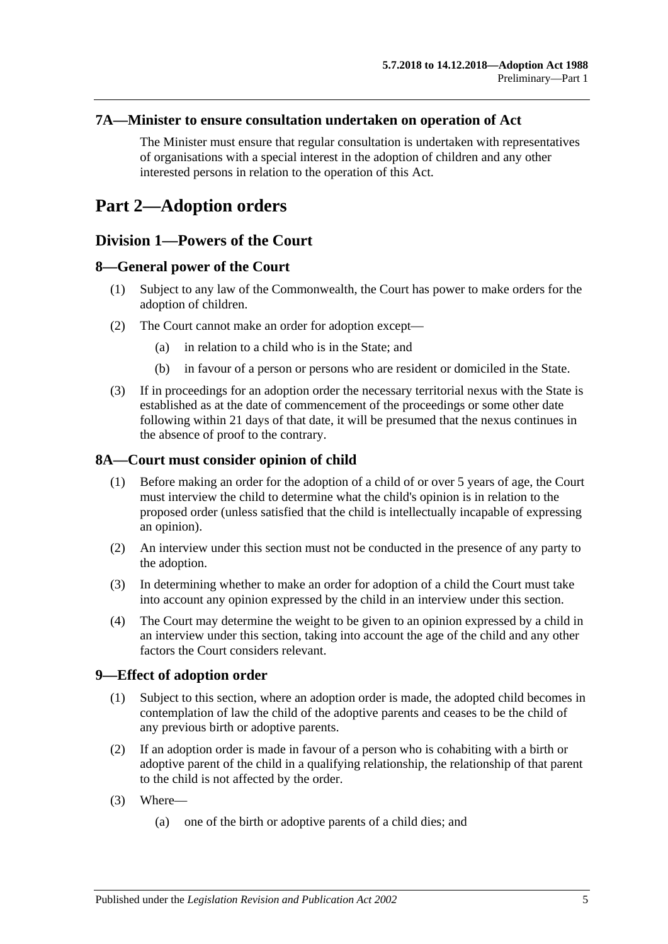## <span id="page-4-0"></span>**7A—Minister to ensure consultation undertaken on operation of Act**

The Minister must ensure that regular consultation is undertaken with representatives of organisations with a special interest in the adoption of children and any other interested persons in relation to the operation of this Act.

# <span id="page-4-2"></span><span id="page-4-1"></span>**Part 2—Adoption orders**

## **Division 1—Powers of the Court**

## <span id="page-4-3"></span>**8—General power of the Court**

- (1) Subject to any law of the Commonwealth, the Court has power to make orders for the adoption of children.
- (2) The Court cannot make an order for adoption except—
	- (a) in relation to a child who is in the State; and
	- (b) in favour of a person or persons who are resident or domiciled in the State.
- (3) If in proceedings for an adoption order the necessary territorial nexus with the State is established as at the date of commencement of the proceedings or some other date following within 21 days of that date, it will be presumed that the nexus continues in the absence of proof to the contrary.

## <span id="page-4-4"></span>**8A—Court must consider opinion of child**

- (1) Before making an order for the adoption of a child of or over 5 years of age, the Court must interview the child to determine what the child's opinion is in relation to the proposed order (unless satisfied that the child is intellectually incapable of expressing an opinion).
- (2) An interview under this section must not be conducted in the presence of any party to the adoption.
- (3) In determining whether to make an order for adoption of a child the Court must take into account any opinion expressed by the child in an interview under this section.
- (4) The Court may determine the weight to be given to an opinion expressed by a child in an interview under this section, taking into account the age of the child and any other factors the Court considers relevant.

## <span id="page-4-5"></span>**9—Effect of adoption order**

- (1) Subject to this section, where an adoption order is made, the adopted child becomes in contemplation of law the child of the adoptive parents and ceases to be the child of any previous birth or adoptive parents.
- (2) If an adoption order is made in favour of a person who is cohabiting with a birth or adoptive parent of the child in a qualifying relationship, the relationship of that parent to the child is not affected by the order.
- (3) Where—
	- (a) one of the birth or adoptive parents of a child dies; and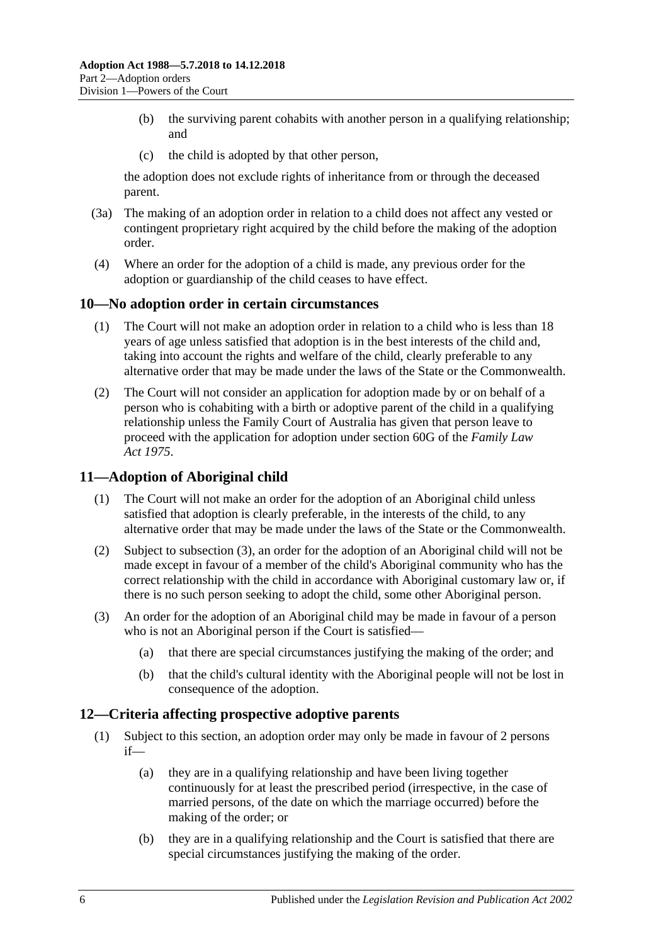- (b) the surviving parent cohabits with another person in a qualifying relationship; and
- (c) the child is adopted by that other person,

the adoption does not exclude rights of inheritance from or through the deceased parent.

- (3a) The making of an adoption order in relation to a child does not affect any vested or contingent proprietary right acquired by the child before the making of the adoption order.
- (4) Where an order for the adoption of a child is made, any previous order for the adoption or guardianship of the child ceases to have effect.

## <span id="page-5-0"></span>**10—No adoption order in certain circumstances**

- (1) The Court will not make an adoption order in relation to a child who is less than 18 years of age unless satisfied that adoption is in the best interests of the child and, taking into account the rights and welfare of the child, clearly preferable to any alternative order that may be made under the laws of the State or the Commonwealth.
- (2) The Court will not consider an application for adoption made by or on behalf of a person who is cohabiting with a birth or adoptive parent of the child in a qualifying relationship unless the Family Court of Australia has given that person leave to proceed with the application for adoption under section 60G of the *Family Law Act 1975*.

## <span id="page-5-1"></span>**11—Adoption of Aboriginal child**

- (1) The Court will not make an order for the adoption of an Aboriginal child unless satisfied that adoption is clearly preferable, in the interests of the child, to any alternative order that may be made under the laws of the State or the Commonwealth.
- (2) Subject to [subsection](#page-5-3) (3), an order for the adoption of an Aboriginal child will not be made except in favour of a member of the child's Aboriginal community who has the correct relationship with the child in accordance with Aboriginal customary law or, if there is no such person seeking to adopt the child, some other Aboriginal person.
- <span id="page-5-3"></span>(3) An order for the adoption of an Aboriginal child may be made in favour of a person who is not an Aboriginal person if the Court is satisfied—
	- (a) that there are special circumstances justifying the making of the order; and
	- (b) that the child's cultural identity with the Aboriginal people will not be lost in consequence of the adoption.

## <span id="page-5-2"></span>**12—Criteria affecting prospective adoptive parents**

- (1) Subject to this section, an adoption order may only be made in favour of 2 persons if—
	- (a) they are in a qualifying relationship and have been living together continuously for at least the prescribed period (irrespective, in the case of married persons, of the date on which the marriage occurred) before the making of the order; or
	- (b) they are in a qualifying relationship and the Court is satisfied that there are special circumstances justifying the making of the order.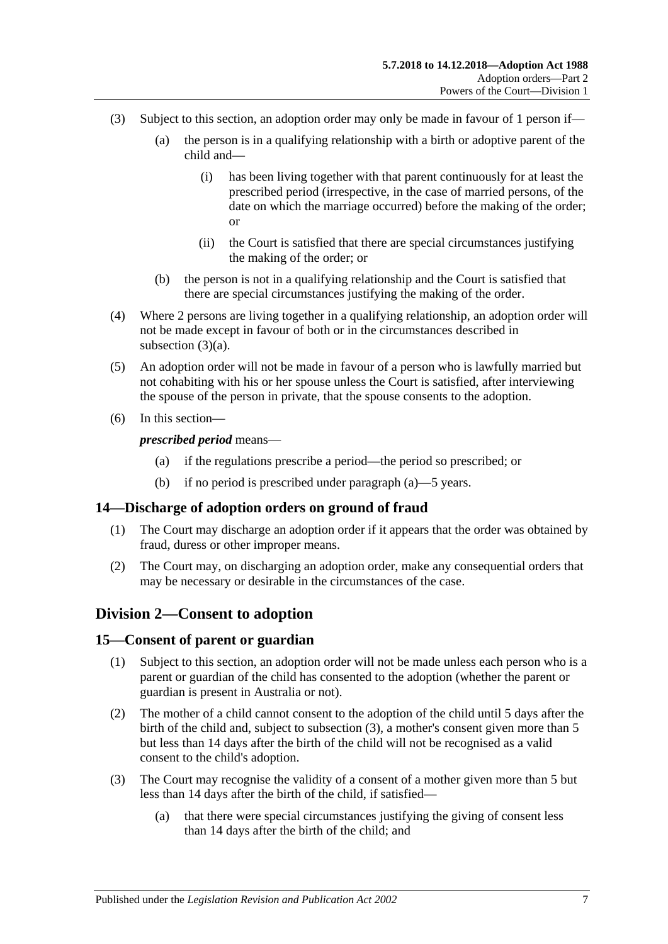- <span id="page-6-3"></span>(3) Subject to this section, an adoption order may only be made in favour of 1 person if—
	- (a) the person is in a qualifying relationship with a birth or adoptive parent of the child and—
		- (i) has been living together with that parent continuously for at least the prescribed period (irrespective, in the case of married persons, of the date on which the marriage occurred) before the making of the order; or
		- (ii) the Court is satisfied that there are special circumstances justifying the making of the order; or
	- (b) the person is not in a qualifying relationship and the Court is satisfied that there are special circumstances justifying the making of the order.
- (4) Where 2 persons are living together in a qualifying relationship, an adoption order will not be made except in favour of both or in the circumstances described in [subsection](#page-6-3)  $(3)(a)$ .
- (5) An adoption order will not be made in favour of a person who is lawfully married but not cohabiting with his or her spouse unless the Court is satisfied, after interviewing the spouse of the person in private, that the spouse consents to the adoption.
- <span id="page-6-4"></span>(6) In this section—

*prescribed period* means—

- (a) if the regulations prescribe a period—the period so prescribed; or
- (b) if no period is prescribed under [paragraph](#page-6-4) (a)—5 years.

## <span id="page-6-0"></span>**14—Discharge of adoption orders on ground of fraud**

- (1) The Court may discharge an adoption order if it appears that the order was obtained by fraud, duress or other improper means.
- (2) The Court may, on discharging an adoption order, make any consequential orders that may be necessary or desirable in the circumstances of the case.

## <span id="page-6-1"></span>**Division 2—Consent to adoption**

## <span id="page-6-2"></span>**15—Consent of parent or guardian**

- (1) Subject to this section, an adoption order will not be made unless each person who is a parent or guardian of the child has consented to the adoption (whether the parent or guardian is present in Australia or not).
- (2) The mother of a child cannot consent to the adoption of the child until 5 days after the birth of the child and, subject to [subsection](#page-6-5) (3), a mother's consent given more than 5 but less than 14 days after the birth of the child will not be recognised as a valid consent to the child's adoption.
- <span id="page-6-5"></span>(3) The Court may recognise the validity of a consent of a mother given more than 5 but less than 14 days after the birth of the child, if satisfied—
	- (a) that there were special circumstances justifying the giving of consent less than 14 days after the birth of the child; and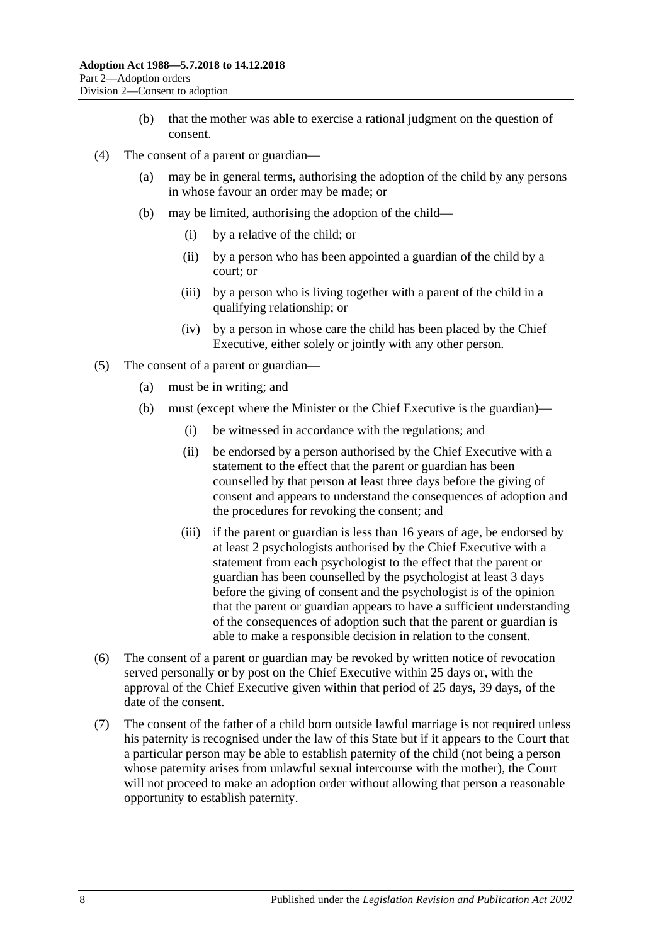- (b) that the mother was able to exercise a rational judgment on the question of consent.
- (4) The consent of a parent or guardian—
	- (a) may be in general terms, authorising the adoption of the child by any persons in whose favour an order may be made; or
	- (b) may be limited, authorising the adoption of the child—
		- (i) by a relative of the child; or
		- (ii) by a person who has been appointed a guardian of the child by a court; or
		- (iii) by a person who is living together with a parent of the child in a qualifying relationship; or
		- (iv) by a person in whose care the child has been placed by the Chief Executive, either solely or jointly with any other person.
- (5) The consent of a parent or guardian—
	- (a) must be in writing; and
	- (b) must (except where the Minister or the Chief Executive is the guardian)—
		- (i) be witnessed in accordance with the regulations; and
		- (ii) be endorsed by a person authorised by the Chief Executive with a statement to the effect that the parent or guardian has been counselled by that person at least three days before the giving of consent and appears to understand the consequences of adoption and the procedures for revoking the consent; and
		- (iii) if the parent or guardian is less than 16 years of age, be endorsed by at least 2 psychologists authorised by the Chief Executive with a statement from each psychologist to the effect that the parent or guardian has been counselled by the psychologist at least 3 days before the giving of consent and the psychologist is of the opinion that the parent or guardian appears to have a sufficient understanding of the consequences of adoption such that the parent or guardian is able to make a responsible decision in relation to the consent.
- (6) The consent of a parent or guardian may be revoked by written notice of revocation served personally or by post on the Chief Executive within 25 days or, with the approval of the Chief Executive given within that period of 25 days, 39 days, of the date of the consent.
- (7) The consent of the father of a child born outside lawful marriage is not required unless his paternity is recognised under the law of this State but if it appears to the Court that a particular person may be able to establish paternity of the child (not being a person whose paternity arises from unlawful sexual intercourse with the mother), the Court will not proceed to make an adoption order without allowing that person a reasonable opportunity to establish paternity.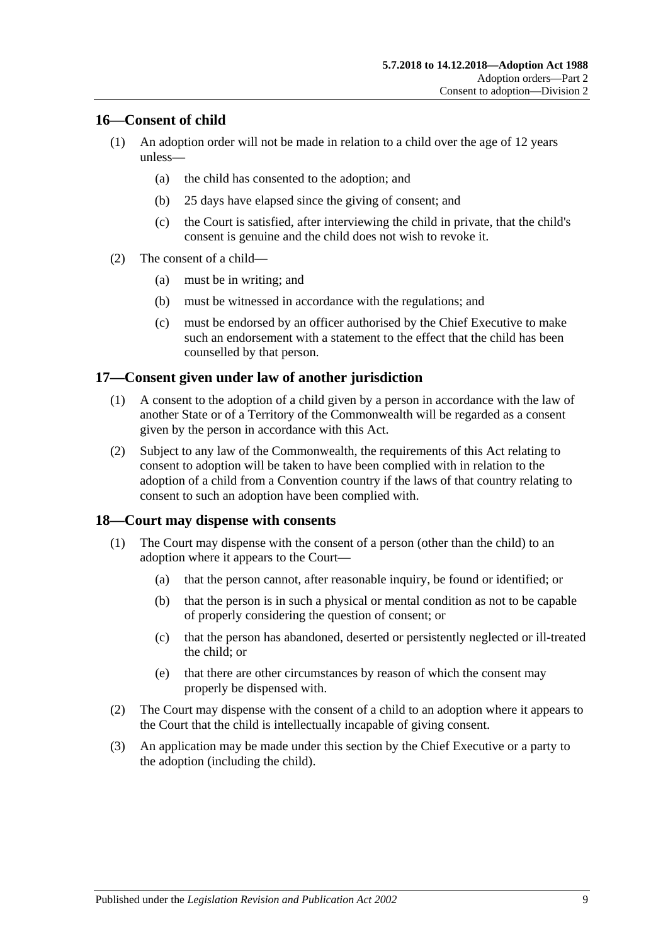## <span id="page-8-0"></span>**16—Consent of child**

- (1) An adoption order will not be made in relation to a child over the age of 12 years unless—
	- (a) the child has consented to the adoption; and
	- (b) 25 days have elapsed since the giving of consent; and
	- (c) the Court is satisfied, after interviewing the child in private, that the child's consent is genuine and the child does not wish to revoke it.
- (2) The consent of a child—
	- (a) must be in writing; and
	- (b) must be witnessed in accordance with the regulations; and
	- (c) must be endorsed by an officer authorised by the Chief Executive to make such an endorsement with a statement to the effect that the child has been counselled by that person.

## <span id="page-8-1"></span>**17—Consent given under law of another jurisdiction**

- (1) A consent to the adoption of a child given by a person in accordance with the law of another State or of a Territory of the Commonwealth will be regarded as a consent given by the person in accordance with this Act.
- (2) Subject to any law of the Commonwealth, the requirements of this Act relating to consent to adoption will be taken to have been complied with in relation to the adoption of a child from a Convention country if the laws of that country relating to consent to such an adoption have been complied with.

## <span id="page-8-2"></span>**18—Court may dispense with consents**

- (1) The Court may dispense with the consent of a person (other than the child) to an adoption where it appears to the Court—
	- (a) that the person cannot, after reasonable inquiry, be found or identified; or
	- (b) that the person is in such a physical or mental condition as not to be capable of properly considering the question of consent; or
	- (c) that the person has abandoned, deserted or persistently neglected or ill-treated the child; or
	- (e) that there are other circumstances by reason of which the consent may properly be dispensed with.
- (2) The Court may dispense with the consent of a child to an adoption where it appears to the Court that the child is intellectually incapable of giving consent.
- (3) An application may be made under this section by the Chief Executive or a party to the adoption (including the child).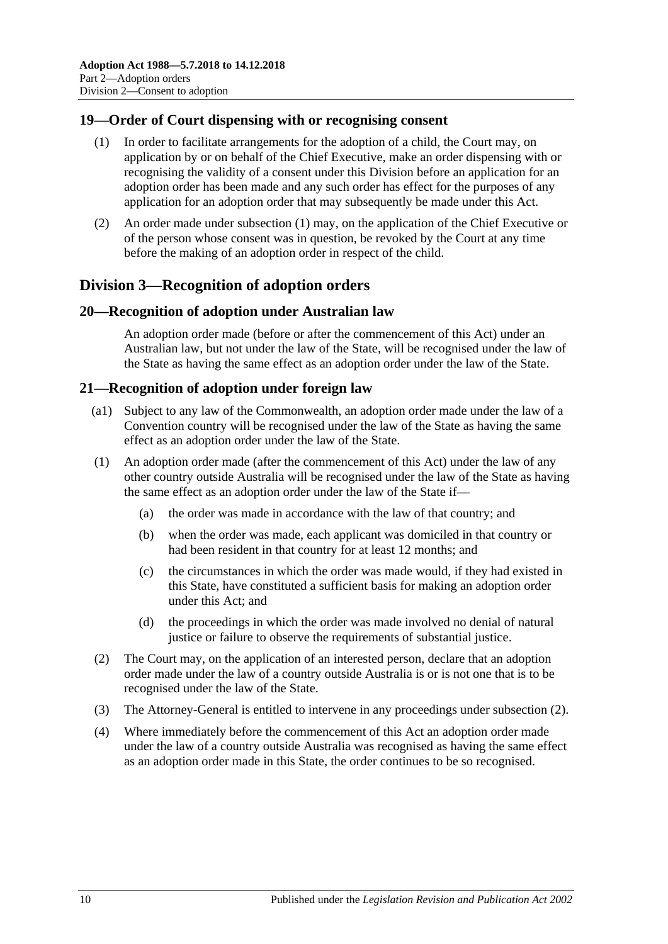## <span id="page-9-4"></span><span id="page-9-0"></span>**19—Order of Court dispensing with or recognising consent**

- (1) In order to facilitate arrangements for the adoption of a child, the Court may, on application by or on behalf of the Chief Executive, make an order dispensing with or recognising the validity of a consent under this Division before an application for an adoption order has been made and any such order has effect for the purposes of any application for an adoption order that may subsequently be made under this Act.
- (2) An order made under [subsection](#page-9-4) (1) may, on the application of the Chief Executive or of the person whose consent was in question, be revoked by the Court at any time before the making of an adoption order in respect of the child.

## <span id="page-9-1"></span>**Division 3—Recognition of adoption orders**

## <span id="page-9-2"></span>**20—Recognition of adoption under Australian law**

An adoption order made (before or after the commencement of this Act) under an Australian law, but not under the law of the State, will be recognised under the law of the State as having the same effect as an adoption order under the law of the State.

## <span id="page-9-3"></span>**21—Recognition of adoption under foreign law**

- (a1) Subject to any law of the Commonwealth, an adoption order made under the law of a Convention country will be recognised under the law of the State as having the same effect as an adoption order under the law of the State.
- (1) An adoption order made (after the commencement of this Act) under the law of any other country outside Australia will be recognised under the law of the State as having the same effect as an adoption order under the law of the State if—
	- (a) the order was made in accordance with the law of that country; and
	- (b) when the order was made, each applicant was domiciled in that country or had been resident in that country for at least 12 months; and
	- (c) the circumstances in which the order was made would, if they had existed in this State, have constituted a sufficient basis for making an adoption order under this Act; and
	- (d) the proceedings in which the order was made involved no denial of natural justice or failure to observe the requirements of substantial justice.
- <span id="page-9-5"></span>(2) The Court may, on the application of an interested person, declare that an adoption order made under the law of a country outside Australia is or is not one that is to be recognised under the law of the State.
- (3) The Attorney-General is entitled to intervene in any proceedings under [subsection](#page-9-5) (2).
- (4) Where immediately before the commencement of this Act an adoption order made under the law of a country outside Australia was recognised as having the same effect as an adoption order made in this State, the order continues to be so recognised.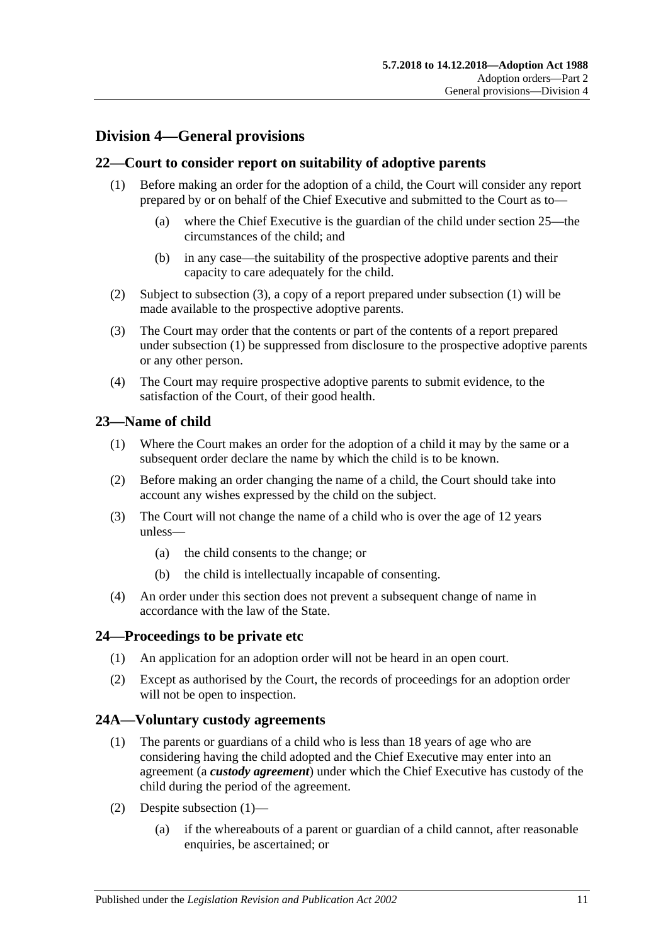## <span id="page-10-0"></span>**Division 4—General provisions**

## <span id="page-10-6"></span><span id="page-10-1"></span>**22—Court to consider report on suitability of adoptive parents**

- (1) Before making an order for the adoption of a child, the Court will consider any report prepared by or on behalf of the Chief Executive and submitted to the Court as to—
	- (a) where the Chief Executive is the guardian of the child under [section](#page-11-0) 25—the circumstances of the child; and
	- (b) in any case—the suitability of the prospective adoptive parents and their capacity to care adequately for the child.
- (2) Subject to [subsection](#page-10-5) (3), a copy of a report prepared under [subsection](#page-10-6) (1) will be made available to the prospective adoptive parents.
- <span id="page-10-5"></span>(3) The Court may order that the contents or part of the contents of a report prepared under [subsection](#page-10-6) (1) be suppressed from disclosure to the prospective adoptive parents or any other person.
- (4) The Court may require prospective adoptive parents to submit evidence, to the satisfaction of the Court, of their good health.

## <span id="page-10-2"></span>**23—Name of child**

- (1) Where the Court makes an order for the adoption of a child it may by the same or a subsequent order declare the name by which the child is to be known.
- (2) Before making an order changing the name of a child, the Court should take into account any wishes expressed by the child on the subject.
- (3) The Court will not change the name of a child who is over the age of 12 years unless—
	- (a) the child consents to the change; or
	- (b) the child is intellectually incapable of consenting.
- (4) An order under this section does not prevent a subsequent change of name in accordance with the law of the State.

## <span id="page-10-3"></span>**24—Proceedings to be private etc**

- (1) An application for an adoption order will not be heard in an open court.
- (2) Except as authorised by the Court, the records of proceedings for an adoption order will not be open to inspection.

## <span id="page-10-7"></span><span id="page-10-4"></span>**24A—Voluntary custody agreements**

- (1) The parents or guardians of a child who is less than 18 years of age who are considering having the child adopted and the Chief Executive may enter into an agreement (a *custody agreement*) under which the Chief Executive has custody of the child during the period of the agreement.
- (2) Despite [subsection](#page-10-7) (1)—
	- (a) if the whereabouts of a parent or guardian of a child cannot, after reasonable enquiries, be ascertained; or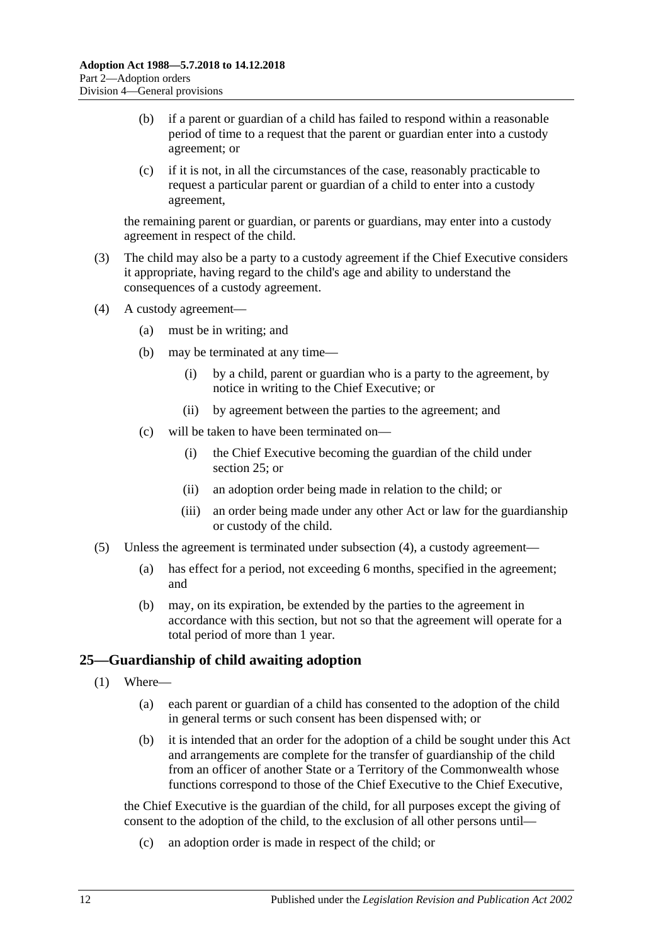- (b) if a parent or guardian of a child has failed to respond within a reasonable period of time to a request that the parent or guardian enter into a custody agreement; or
- (c) if it is not, in all the circumstances of the case, reasonably practicable to request a particular parent or guardian of a child to enter into a custody agreement,

the remaining parent or guardian, or parents or guardians, may enter into a custody agreement in respect of the child.

- (3) The child may also be a party to a custody agreement if the Chief Executive considers it appropriate, having regard to the child's age and ability to understand the consequences of a custody agreement.
- <span id="page-11-1"></span>(4) A custody agreement—
	- (a) must be in writing; and
	- (b) may be terminated at any time—
		- (i) by a child, parent or guardian who is a party to the agreement, by notice in writing to the Chief Executive; or
		- (ii) by agreement between the parties to the agreement; and
	- (c) will be taken to have been terminated on—
		- (i) the Chief Executive becoming the guardian of the child under [section](#page-11-0) 25; or
		- (ii) an adoption order being made in relation to the child; or
		- (iii) an order being made under any other Act or law for the guardianship or custody of the child.
- (5) Unless the agreement is terminated under [subsection](#page-11-1) (4), a custody agreement—
	- (a) has effect for a period, not exceeding 6 months, specified in the agreement; and
	- (b) may, on its expiration, be extended by the parties to the agreement in accordance with this section, but not so that the agreement will operate for a total period of more than 1 year.

## <span id="page-11-0"></span>**25—Guardianship of child awaiting adoption**

- <span id="page-11-2"></span>(1) Where—
	- (a) each parent or guardian of a child has consented to the adoption of the child in general terms or such consent has been dispensed with; or
	- (b) it is intended that an order for the adoption of a child be sought under this Act and arrangements are complete for the transfer of guardianship of the child from an officer of another State or a Territory of the Commonwealth whose functions correspond to those of the Chief Executive to the Chief Executive,

the Chief Executive is the guardian of the child, for all purposes except the giving of consent to the adoption of the child, to the exclusion of all other persons until—

(c) an adoption order is made in respect of the child; or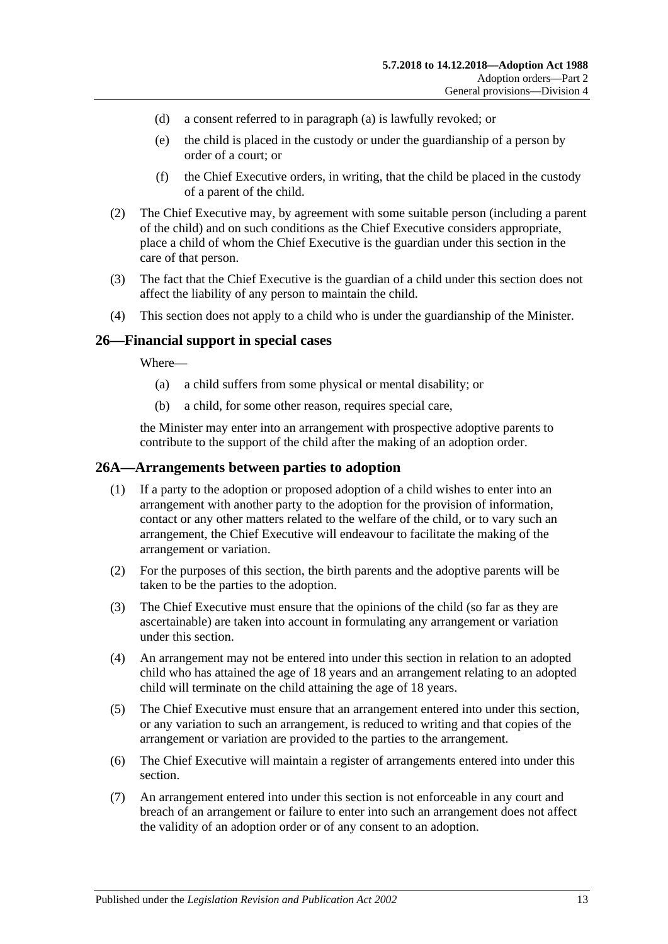- (d) a consent referred to in [paragraph](#page-11-2) (a) is lawfully revoked; or
- (e) the child is placed in the custody or under the guardianship of a person by order of a court; or
- (f) the Chief Executive orders, in writing, that the child be placed in the custody of a parent of the child.
- (2) The Chief Executive may, by agreement with some suitable person (including a parent of the child) and on such conditions as the Chief Executive considers appropriate, place a child of whom the Chief Executive is the guardian under this section in the care of that person.
- (3) The fact that the Chief Executive is the guardian of a child under this section does not affect the liability of any person to maintain the child.
- (4) This section does not apply to a child who is under the guardianship of the Minister.

## <span id="page-12-0"></span>**26—Financial support in special cases**

Where—

- (a) a child suffers from some physical or mental disability; or
- (b) a child, for some other reason, requires special care,

the Minister may enter into an arrangement with prospective adoptive parents to contribute to the support of the child after the making of an adoption order.

## <span id="page-12-1"></span>**26A—Arrangements between parties to adoption**

- (1) If a party to the adoption or proposed adoption of a child wishes to enter into an arrangement with another party to the adoption for the provision of information, contact or any other matters related to the welfare of the child, or to vary such an arrangement, the Chief Executive will endeavour to facilitate the making of the arrangement or variation.
- (2) For the purposes of this section, the birth parents and the adoptive parents will be taken to be the parties to the adoption.
- (3) The Chief Executive must ensure that the opinions of the child (so far as they are ascertainable) are taken into account in formulating any arrangement or variation under this section.
- (4) An arrangement may not be entered into under this section in relation to an adopted child who has attained the age of 18 years and an arrangement relating to an adopted child will terminate on the child attaining the age of 18 years.
- (5) The Chief Executive must ensure that an arrangement entered into under this section, or any variation to such an arrangement, is reduced to writing and that copies of the arrangement or variation are provided to the parties to the arrangement.
- (6) The Chief Executive will maintain a register of arrangements entered into under this section.
- (7) An arrangement entered into under this section is not enforceable in any court and breach of an arrangement or failure to enter into such an arrangement does not affect the validity of an adoption order or of any consent to an adoption.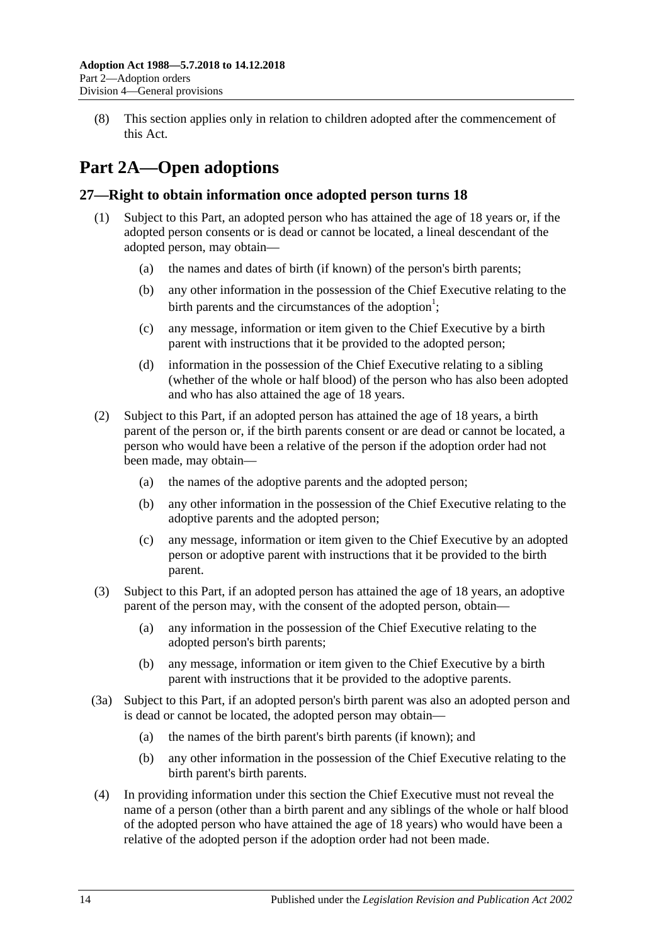(8) This section applies only in relation to children adopted after the commencement of this Act.

# <span id="page-13-0"></span>**Part 2A—Open adoptions**

## <span id="page-13-1"></span>**27—Right to obtain information once adopted person turns 18**

- (1) Subject to this Part, an adopted person who has attained the age of 18 years or, if the adopted person consents or is dead or cannot be located, a lineal descendant of the adopted person, may obtain—
	- (a) the names and dates of birth (if known) of the person's birth parents;
	- (b) any other information in the possession of the Chief Executive relating to the birth parents and the circumstances of the adoption<sup>1</sup>;
	- (c) any message, information or item given to the Chief Executive by a birth parent with instructions that it be provided to the adopted person;
	- (d) information in the possession of the Chief Executive relating to a sibling (whether of the whole or half blood) of the person who has also been adopted and who has also attained the age of 18 years.
- (2) Subject to this Part, if an adopted person has attained the age of 18 years, a birth parent of the person or, if the birth parents consent or are dead or cannot be located, a person who would have been a relative of the person if the adoption order had not been made, may obtain—
	- (a) the names of the adoptive parents and the adopted person;
	- (b) any other information in the possession of the Chief Executive relating to the adoptive parents and the adopted person;
	- (c) any message, information or item given to the Chief Executive by an adopted person or adoptive parent with instructions that it be provided to the birth parent.
- (3) Subject to this Part, if an adopted person has attained the age of 18 years, an adoptive parent of the person may, with the consent of the adopted person, obtain—
	- (a) any information in the possession of the Chief Executive relating to the adopted person's birth parents;
	- (b) any message, information or item given to the Chief Executive by a birth parent with instructions that it be provided to the adoptive parents.
- (3a) Subject to this Part, if an adopted person's birth parent was also an adopted person and is dead or cannot be located, the adopted person may obtain—
	- (a) the names of the birth parent's birth parents (if known); and
	- (b) any other information in the possession of the Chief Executive relating to the birth parent's birth parents.
- (4) In providing information under this section the Chief Executive must not reveal the name of a person (other than a birth parent and any siblings of the whole or half blood of the adopted person who have attained the age of 18 years) who would have been a relative of the adopted person if the adoption order had not been made.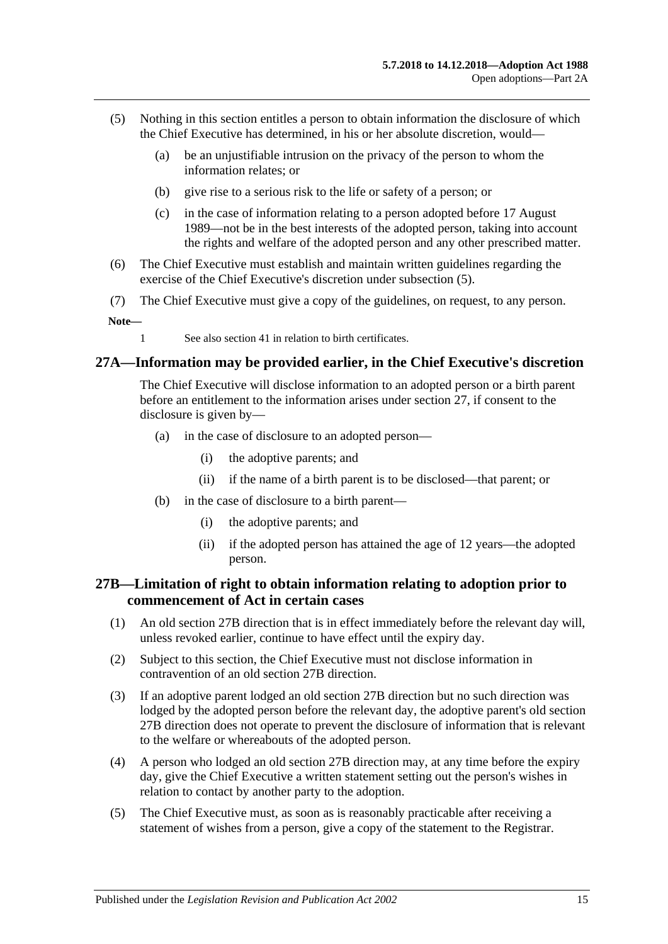- <span id="page-14-2"></span>(5) Nothing in this section entitles a person to obtain information the disclosure of which the Chief Executive has determined, in his or her absolute discretion, would—
	- (a) be an unjustifiable intrusion on the privacy of the person to whom the information relates; or
	- (b) give rise to a serious risk to the life or safety of a person; or
	- (c) in the case of information relating to a person adopted before 17 August 1989—not be in the best interests of the adopted person, taking into account the rights and welfare of the adopted person and any other prescribed matter.
- (6) The Chief Executive must establish and maintain written guidelines regarding the exercise of the Chief Executive's discretion under [subsection](#page-14-2) (5).
- (7) The Chief Executive must give a copy of the guidelines, on request, to any person.

**Note—**

1 See also [section](#page-18-3) 41 in relation to birth certificates.

## <span id="page-14-0"></span>**27A—Information may be provided earlier, in the Chief Executive's discretion**

The Chief Executive will disclose information to an adopted person or a birth parent before an entitlement to the information arises under [section](#page-13-1) 27, if consent to the disclosure is given by—

- (a) in the case of disclosure to an adopted person—
	- (i) the adoptive parents; and
	- (ii) if the name of a birth parent is to be disclosed—that parent; or
- (b) in the case of disclosure to a birth parent—
	- (i) the adoptive parents; and
	- (ii) if the adopted person has attained the age of 12 years—the adopted person.

## <span id="page-14-1"></span>**27B—Limitation of right to obtain information relating to adoption prior to commencement of Act in certain cases**

- (1) An old section 27B direction that is in effect immediately before the relevant day will, unless revoked earlier, continue to have effect until the expiry day.
- (2) Subject to this section, the Chief Executive must not disclose information in contravention of an old section 27B direction.
- (3) If an adoptive parent lodged an old section 27B direction but no such direction was lodged by the adopted person before the relevant day, the adoptive parent's old section 27B direction does not operate to prevent the disclosure of information that is relevant to the welfare or whereabouts of the adopted person.
- (4) A person who lodged an old section 27B direction may, at any time before the expiry day, give the Chief Executive a written statement setting out the person's wishes in relation to contact by another party to the adoption.
- (5) The Chief Executive must, as soon as is reasonably practicable after receiving a statement of wishes from a person, give a copy of the statement to the Registrar.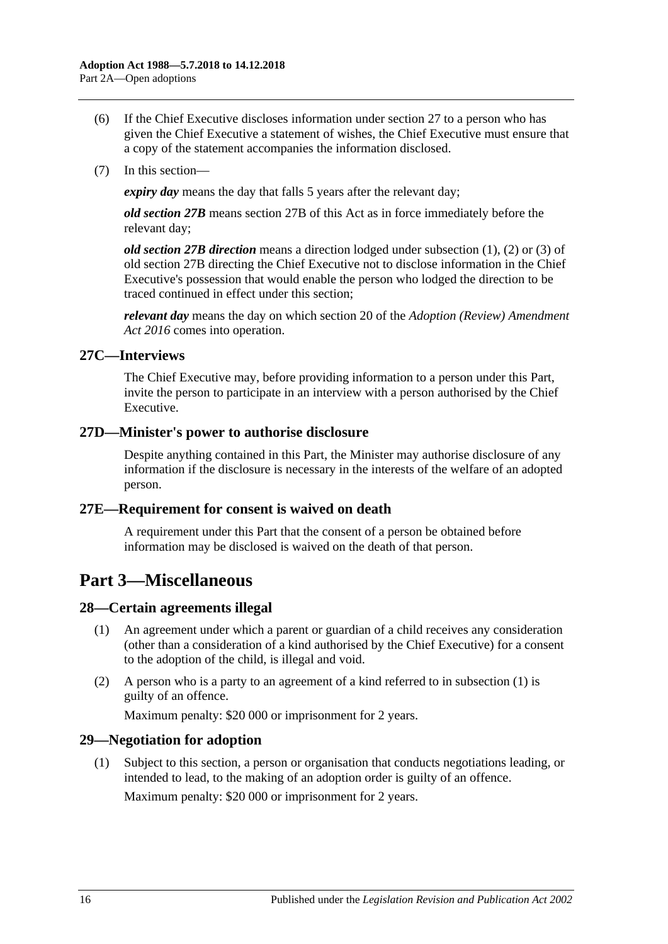- (6) If the Chief Executive discloses information under [section](#page-13-1) 27 to a person who has given the Chief Executive a statement of wishes, the Chief Executive must ensure that a copy of the statement accompanies the information disclosed.
- (7) In this section—

*expiry day* means the day that falls 5 years after the relevant day;

*old section 27B* means section 27B of this Act as in force immediately before the relevant day;

*old section 27B direction* means a direction lodged under subsection (1), (2) or (3) of old section 27B directing the Chief Executive not to disclose information in the Chief Executive's possession that would enable the person who lodged the direction to be traced continued in effect under this section;

*relevant day* means the day on which section 20 of the *[Adoption \(Review\) Amendment](http://www.legislation.sa.gov.au/index.aspx?action=legref&type=act&legtitle=Adoption%20(Review)%20Amendment%20Act%202016)  Act [2016](http://www.legislation.sa.gov.au/index.aspx?action=legref&type=act&legtitle=Adoption%20(Review)%20Amendment%20Act%202016)* comes into operation.

## <span id="page-15-0"></span>**27C—Interviews**

The Chief Executive may, before providing information to a person under this Part, invite the person to participate in an interview with a person authorised by the Chief Executive.

## <span id="page-15-1"></span>**27D—Minister's power to authorise disclosure**

Despite anything contained in this Part, the Minister may authorise disclosure of any information if the disclosure is necessary in the interests of the welfare of an adopted person.

## <span id="page-15-2"></span>**27E—Requirement for consent is waived on death**

A requirement under this Part that the consent of a person be obtained before information may be disclosed is waived on the death of that person.

# <span id="page-15-3"></span>**Part 3—Miscellaneous**

## <span id="page-15-6"></span><span id="page-15-4"></span>**28—Certain agreements illegal**

- (1) An agreement under which a parent or guardian of a child receives any consideration (other than a consideration of a kind authorised by the Chief Executive) for a consent to the adoption of the child, is illegal and void.
- (2) A person who is a party to an agreement of a kind referred to in [subsection](#page-15-6) (1) is guilty of an offence.

Maximum penalty: \$20 000 or imprisonment for 2 years.

## <span id="page-15-7"></span><span id="page-15-5"></span>**29—Negotiation for adoption**

(1) Subject to this section, a person or organisation that conducts negotiations leading, or intended to lead, to the making of an adoption order is guilty of an offence. Maximum penalty: \$20 000 or imprisonment for 2 years.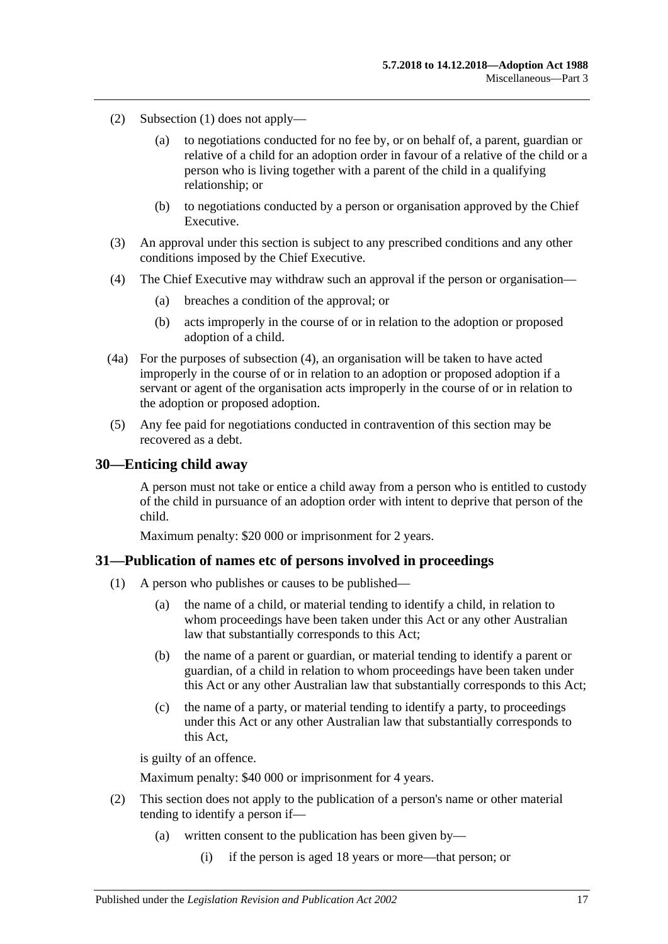- (2) [Subsection](#page-15-7) (1) does not apply—
	- (a) to negotiations conducted for no fee by, or on behalf of, a parent, guardian or relative of a child for an adoption order in favour of a relative of the child or a person who is living together with a parent of the child in a qualifying relationship; or
	- (b) to negotiations conducted by a person or organisation approved by the Chief Executive.
- (3) An approval under this section is subject to any prescribed conditions and any other conditions imposed by the Chief Executive.
- <span id="page-16-2"></span>(4) The Chief Executive may withdraw such an approval if the person or organisation—
	- (a) breaches a condition of the approval; or
	- (b) acts improperly in the course of or in relation to the adoption or proposed adoption of a child.
- (4a) For the purposes of [subsection](#page-16-2) (4), an organisation will be taken to have acted improperly in the course of or in relation to an adoption or proposed adoption if a servant or agent of the organisation acts improperly in the course of or in relation to the adoption or proposed adoption.
- (5) Any fee paid for negotiations conducted in contravention of this section may be recovered as a debt.

#### <span id="page-16-0"></span>**30—Enticing child away**

A person must not take or entice a child away from a person who is entitled to custody of the child in pursuance of an adoption order with intent to deprive that person of the child.

Maximum penalty: \$20 000 or imprisonment for 2 years.

#### <span id="page-16-1"></span>**31—Publication of names etc of persons involved in proceedings**

- (1) A person who publishes or causes to be published—
	- (a) the name of a child, or material tending to identify a child, in relation to whom proceedings have been taken under this Act or any other Australian law that substantially corresponds to this Act;
	- (b) the name of a parent or guardian, or material tending to identify a parent or guardian, of a child in relation to whom proceedings have been taken under this Act or any other Australian law that substantially corresponds to this Act;
	- (c) the name of a party, or material tending to identify a party, to proceedings under this Act or any other Australian law that substantially corresponds to this Act,

is guilty of an offence.

Maximum penalty: \$40 000 or imprisonment for 4 years.

- (2) This section does not apply to the publication of a person's name or other material tending to identify a person if—
	- (a) written consent to the publication has been given by—
		- (i) if the person is aged 18 years or more—that person; or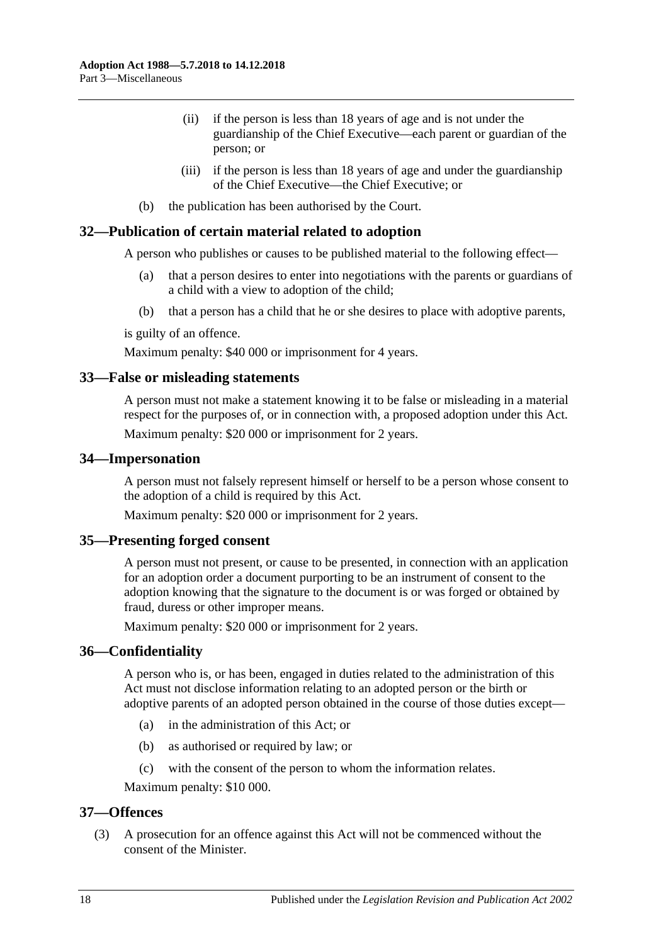- (ii) if the person is less than 18 years of age and is not under the guardianship of the Chief Executive—each parent or guardian of the person; or
- (iii) if the person is less than 18 years of age and under the guardianship of the Chief Executive—the Chief Executive; or
- (b) the publication has been authorised by the Court.

#### <span id="page-17-0"></span>**32—Publication of certain material related to adoption**

A person who publishes or causes to be published material to the following effect—

- (a) that a person desires to enter into negotiations with the parents or guardians of a child with a view to adoption of the child;
- (b) that a person has a child that he or she desires to place with adoptive parents,

is guilty of an offence.

Maximum penalty: \$40 000 or imprisonment for 4 years.

## <span id="page-17-1"></span>**33—False or misleading statements**

A person must not make a statement knowing it to be false or misleading in a material respect for the purposes of, or in connection with, a proposed adoption under this Act. Maximum penalty: \$20 000 or imprisonment for 2 years.

#### <span id="page-17-2"></span>**34—Impersonation**

A person must not falsely represent himself or herself to be a person whose consent to the adoption of a child is required by this Act.

Maximum penalty: \$20 000 or imprisonment for 2 years.

## <span id="page-17-3"></span>**35—Presenting forged consent**

A person must not present, or cause to be presented, in connection with an application for an adoption order a document purporting to be an instrument of consent to the adoption knowing that the signature to the document is or was forged or obtained by fraud, duress or other improper means.

Maximum penalty: \$20 000 or imprisonment for 2 years.

## <span id="page-17-4"></span>**36—Confidentiality**

A person who is, or has been, engaged in duties related to the administration of this Act must not disclose information relating to an adopted person or the birth or adoptive parents of an adopted person obtained in the course of those duties except—

- (a) in the administration of this Act; or
- (b) as authorised or required by law; or
- (c) with the consent of the person to whom the information relates.

Maximum penalty: \$10 000.

## <span id="page-17-5"></span>**37—Offences**

(3) A prosecution for an offence against this Act will not be commenced without the consent of the Minister.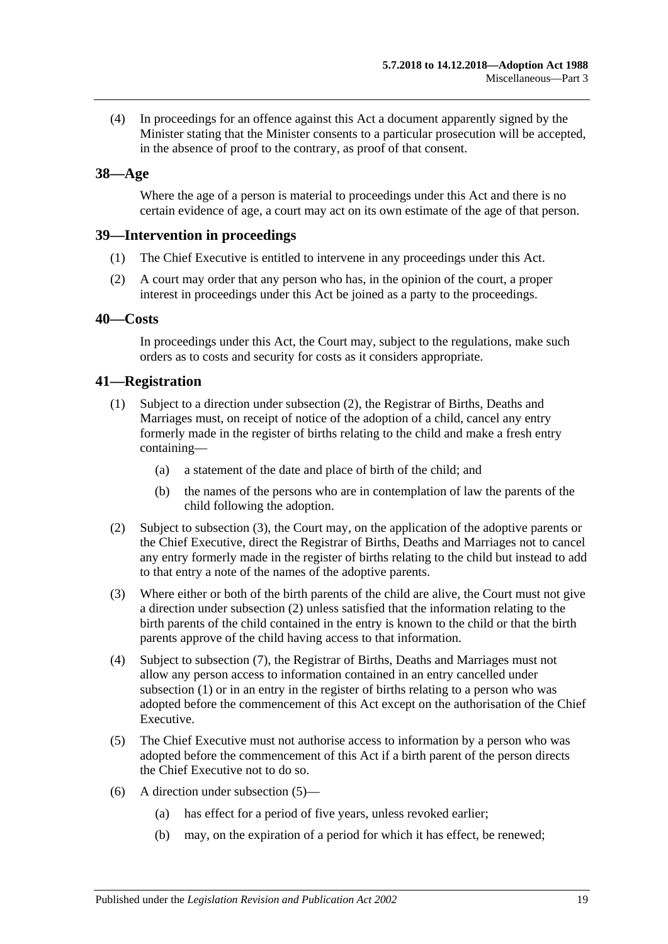(4) In proceedings for an offence against this Act a document apparently signed by the Minister stating that the Minister consents to a particular prosecution will be accepted, in the absence of proof to the contrary, as proof of that consent.

## <span id="page-18-0"></span>**38—Age**

Where the age of a person is material to proceedings under this Act and there is no certain evidence of age, a court may act on its own estimate of the age of that person.

## <span id="page-18-1"></span>**39—Intervention in proceedings**

- (1) The Chief Executive is entitled to intervene in any proceedings under this Act.
- (2) A court may order that any person who has, in the opinion of the court, a proper interest in proceedings under this Act be joined as a party to the proceedings.

## <span id="page-18-2"></span>**40—Costs**

In proceedings under this Act, the Court may, subject to the regulations, make such orders as to costs and security for costs as it considers appropriate.

## <span id="page-18-6"></span><span id="page-18-3"></span>**41—Registration**

- (1) Subject to a direction under [subsection](#page-18-4) (2), the Registrar of Births, Deaths and Marriages must, on receipt of notice of the adoption of a child, cancel any entry formerly made in the register of births relating to the child and make a fresh entry containing—
	- (a) a statement of the date and place of birth of the child; and
	- (b) the names of the persons who are in contemplation of law the parents of the child following the adoption.
- <span id="page-18-4"></span>(2) Subject to [subsection](#page-18-5) (3), the Court may, on the application of the adoptive parents or the Chief Executive, direct the Registrar of Births, Deaths and Marriages not to cancel any entry formerly made in the register of births relating to the child but instead to add to that entry a note of the names of the adoptive parents.
- <span id="page-18-5"></span>(3) Where either or both of the birth parents of the child are alive, the Court must not give a direction under [subsection](#page-18-4) (2) unless satisfied that the information relating to the birth parents of the child contained in the entry is known to the child or that the birth parents approve of the child having access to that information.
- (4) Subject to [subsection](#page-19-1) (7), the Registrar of Births, Deaths and Marriages must not allow any person access to information contained in an entry cancelled under [subsection](#page-18-6) (1) or in an entry in the register of births relating to a person who was adopted before the commencement of this Act except on the authorisation of the Chief Executive.
- <span id="page-18-7"></span>(5) The Chief Executive must not authorise access to information by a person who was adopted before the commencement of this Act if a birth parent of the person directs the Chief Executive not to do so.
- (6) A direction under [subsection](#page-18-7) (5)—
	- (a) has effect for a period of five years, unless revoked earlier;
	- (b) may, on the expiration of a period for which it has effect, be renewed;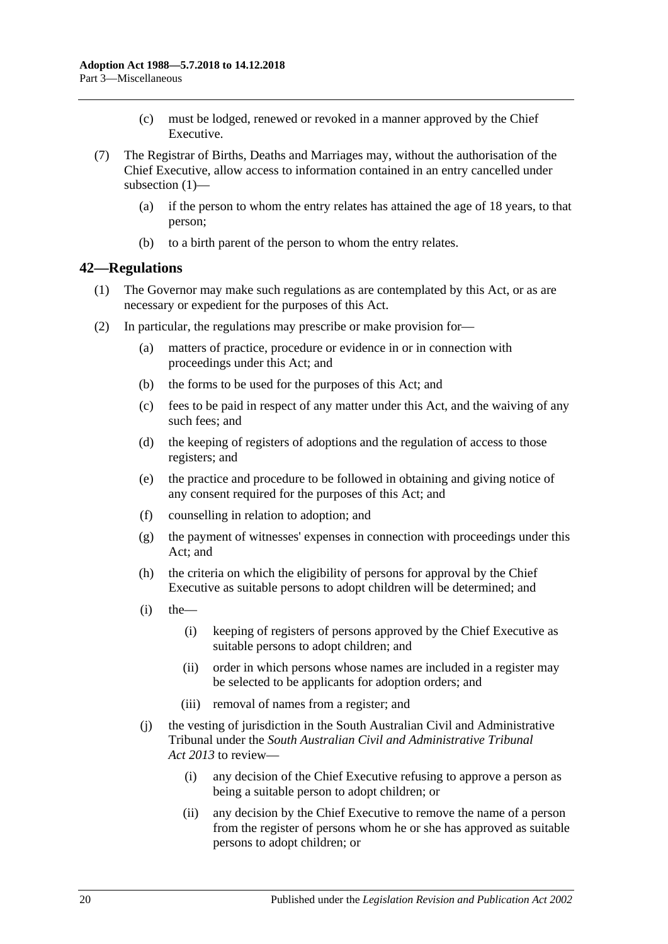- (c) must be lodged, renewed or revoked in a manner approved by the Chief Executive.
- <span id="page-19-1"></span>(7) The Registrar of Births, Deaths and Marriages may, without the authorisation of the Chief Executive, allow access to information contained in an entry cancelled under [subsection](#page-18-6) (1)—
	- (a) if the person to whom the entry relates has attained the age of 18 years, to that person;
	- (b) to a birth parent of the person to whom the entry relates.

## <span id="page-19-0"></span>**42—Regulations**

- (1) The Governor may make such regulations as are contemplated by this Act, or as are necessary or expedient for the purposes of this Act.
- (2) In particular, the regulations may prescribe or make provision for—
	- (a) matters of practice, procedure or evidence in or in connection with proceedings under this Act; and
	- (b) the forms to be used for the purposes of this Act; and
	- (c) fees to be paid in respect of any matter under this Act, and the waiving of any such fees; and
	- (d) the keeping of registers of adoptions and the regulation of access to those registers; and
	- (e) the practice and procedure to be followed in obtaining and giving notice of any consent required for the purposes of this Act; and
	- (f) counselling in relation to adoption; and
	- (g) the payment of witnesses' expenses in connection with proceedings under this Act; and
	- (h) the criteria on which the eligibility of persons for approval by the Chief Executive as suitable persons to adopt children will be determined; and
	- $(i)$  the
		- (i) keeping of registers of persons approved by the Chief Executive as suitable persons to adopt children; and
		- (ii) order in which persons whose names are included in a register may be selected to be applicants for adoption orders; and
		- (iii) removal of names from a register; and
	- (j) the vesting of jurisdiction in the South Australian Civil and Administrative Tribunal under the *[South Australian Civil and Administrative Tribunal](http://www.legislation.sa.gov.au/index.aspx?action=legref&type=act&legtitle=South%20Australian%20Civil%20and%20Administrative%20Tribunal%20Act%202013)  Act [2013](http://www.legislation.sa.gov.au/index.aspx?action=legref&type=act&legtitle=South%20Australian%20Civil%20and%20Administrative%20Tribunal%20Act%202013)* to review—
		- (i) any decision of the Chief Executive refusing to approve a person as being a suitable person to adopt children; or
		- (ii) any decision by the Chief Executive to remove the name of a person from the register of persons whom he or she has approved as suitable persons to adopt children; or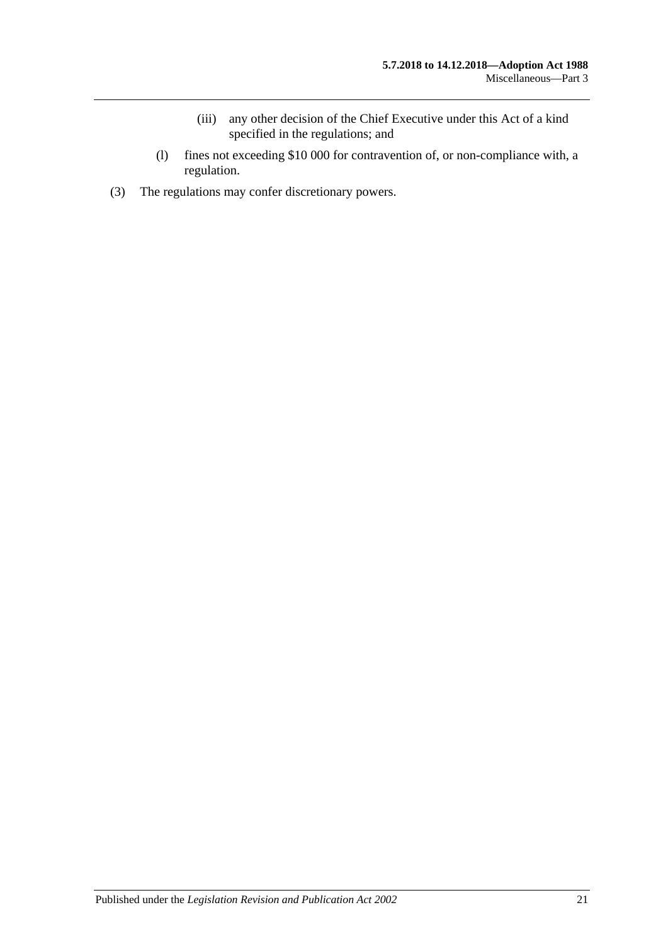- (iii) any other decision of the Chief Executive under this Act of a kind specified in the regulations; and
- (l) fines not exceeding \$10 000 for contravention of, or non-compliance with, a regulation.
- (3) The regulations may confer discretionary powers.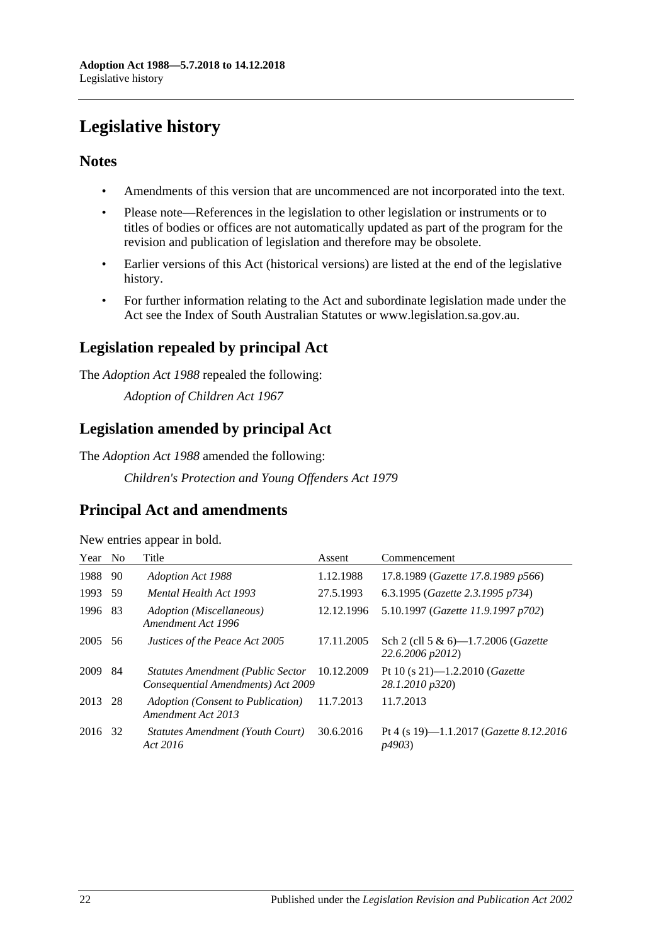# <span id="page-21-0"></span>**Legislative history**

## **Notes**

- Amendments of this version that are uncommenced are not incorporated into the text.
- Please note—References in the legislation to other legislation or instruments or to titles of bodies or offices are not automatically updated as part of the program for the revision and publication of legislation and therefore may be obsolete.
- Earlier versions of this Act (historical versions) are listed at the end of the legislative history.
- For further information relating to the Act and subordinate legislation made under the Act see the Index of South Australian Statutes or www.legislation.sa.gov.au.

# **Legislation repealed by principal Act**

The *Adoption Act 1988* repealed the following:

*Adoption of Children Act 1967*

# **Legislation amended by principal Act**

The *Adoption Act 1988* amended the following:

*Children's Protection and Young Offenders Act 1979*

## **Principal Act and amendments**

| Year | N <sub>0</sub> | Title                                                                   | Assent     | Commencement                                                      |
|------|----------------|-------------------------------------------------------------------------|------------|-------------------------------------------------------------------|
| 1988 | 90             | <b>Adoption Act 1988</b>                                                | 1.12.1988  | 17.8.1989 (Gazette 17.8.1989 p566)                                |
| 1993 | 59             | Mental Health Act 1993                                                  | 27.5.1993  | 6.3.1995 (Gazette 2.3.1995 p734)                                  |
| 1996 | 83             | Adoption (Miscellaneous)<br>Amendment Act 1996                          | 12.12.1996 | 5.10.1997 (Gazette 11.9.1997 p702)                                |
| 2005 | 56             | Justices of the Peace Act 2005                                          | 17.11.2005 | Sch 2 (cll 5 & 6)-1.7.2006 ( <i>Gazette</i><br>22.6.2006 p2012)   |
| 2009 | 84             | Statutes Amendment (Public Sector<br>Consequential Amendments) Act 2009 | 10.12.2009 | Pt 10 (s 21)—1.2.2010 ( <i>Gazette</i><br>28.1.2010 p320)         |
| 2013 | 28             | Adoption (Consent to Publication)<br>Amendment Act 2013                 | 11.7.2013  | 11.7.2013                                                         |
| 2016 | 32             | Statutes Amendment (Youth Court)<br>Act 2016                            | 30.6.2016  | Pt 4 (s 19)—1.1.2017 ( <i>Gazette 8.12.2016</i><br><i>p4903</i> ) |

New entries appear in bold.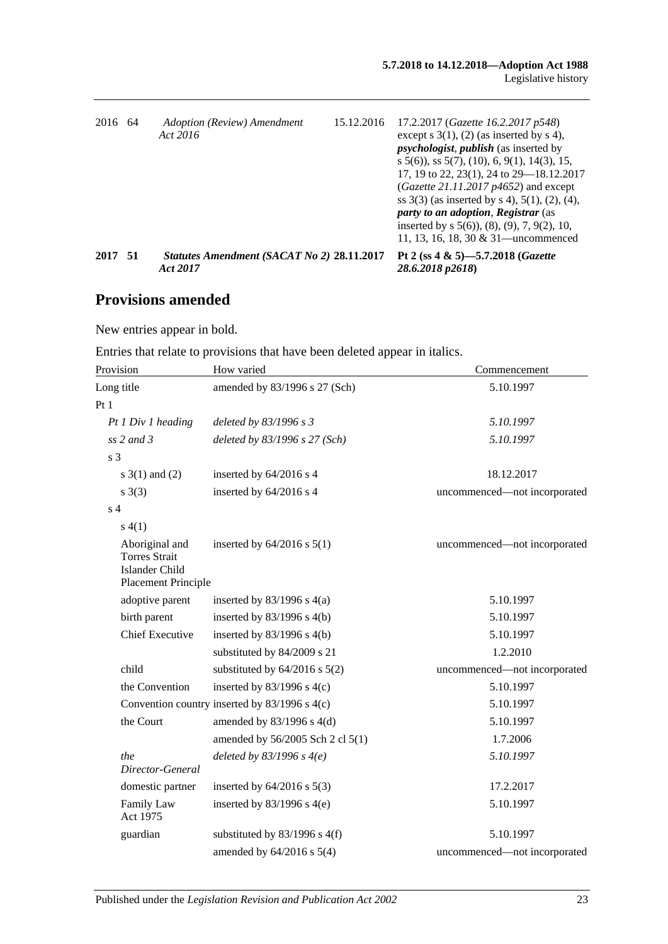| 2016 64 | Adoption (Review) Amendment<br>Act 2016                | 15.12.2016 | 17.2.2017 ( <i>Gazette 16.2.2017 p548</i> )<br>except $s(1)$ , $(2)$ (as inserted by $s(4)$ ,<br><i>psychologist, publish (as inserted by</i><br>$s$ 5(6), ss 5(7), (10), 6, 9(1), 14(3), 15,<br>17, 19 to 22, 23(1), 24 to 29–18.12.2017<br>(Gazette 21.11.2017 $p4652$ ) and except<br>ss $3(3)$ (as inserted by s 4), $5(1)$ , $(2)$ , $(4)$ ,<br>party to an adoption, Registrar (as<br>inserted by $s$ 5(6)), (8), (9), 7, 9(2), 10,<br>11, 13, 16, 18, 30 $& 31$ —uncommenced |
|---------|--------------------------------------------------------|------------|-------------------------------------------------------------------------------------------------------------------------------------------------------------------------------------------------------------------------------------------------------------------------------------------------------------------------------------------------------------------------------------------------------------------------------------------------------------------------------------|
| 2017 51 | Statutes Amendment (SACAT No 2) 28.11.2017<br>Act 2017 |            | Pt 2 (ss 4 & 5)-5.7.2018 ( <i>Gazette</i><br>28.6.2018 p2618)                                                                                                                                                                                                                                                                                                                                                                                                                       |

# **Provisions amended**

New entries appear in bold.

Entries that relate to provisions that have been deleted appear in italics.

| Provision                                                                                     | How varied                                    | Commencement                 |
|-----------------------------------------------------------------------------------------------|-----------------------------------------------|------------------------------|
| Long title                                                                                    | amended by 83/1996 s 27 (Sch)                 | 5.10.1997                    |
| Pt1                                                                                           |                                               |                              |
| Pt 1 Div 1 heading                                                                            | deleted by 83/1996 s 3                        | 5.10.1997                    |
| ss $2$ and $3$                                                                                | deleted by 83/1996 s 27 (Sch)                 | 5.10.1997                    |
| s <sub>3</sub>                                                                                |                                               |                              |
| $s \ 3(1)$ and (2)                                                                            | inserted by $64/2016$ s 4                     | 18.12.2017                   |
| $s \; 3(3)$                                                                                   | inserted by 64/2016 s 4                       | uncommenced-not incorporated |
| s <sub>4</sub>                                                                                |                                               |                              |
| s(4(1))                                                                                       |                                               |                              |
| Aboriginal and<br><b>Torres Strait</b><br><b>Islander Child</b><br><b>Placement Principle</b> | inserted by $64/2016$ s $5(1)$                | uncommenced-not incorporated |
| adoptive parent                                                                               | inserted by $83/1996$ s $4(a)$                | 5.10.1997                    |
| birth parent                                                                                  | inserted by $83/1996$ s $4(b)$                | 5.10.1997                    |
| <b>Chief Executive</b>                                                                        | inserted by $83/1996$ s $4(b)$                | 5.10.1997                    |
|                                                                                               | substituted by 84/2009 s 21                   | 1.2.2010                     |
| child                                                                                         | substituted by $64/2016$ s $5(2)$             | uncommenced-not incorporated |
| the Convention                                                                                | inserted by $83/1996$ s 4(c)                  | 5.10.1997                    |
|                                                                                               | Convention country inserted by 83/1996 s 4(c) | 5.10.1997                    |
| the Court                                                                                     | amended by $83/1996$ s $4(d)$                 | 5.10.1997                    |
|                                                                                               | amended by 56/2005 Sch 2 cl 5(1)              | 1.7.2006                     |
| the<br>Director-General                                                                       | deleted by $83/1996$ s $4(e)$                 | 5.10.1997                    |
| domestic partner                                                                              | inserted by $64/2016$ s $5(3)$                | 17.2.2017                    |
| Family Law<br>Act 1975                                                                        | inserted by $83/1996$ s 4(e)                  | 5.10.1997                    |
| guardian                                                                                      | substituted by $83/1996$ s $4(f)$             | 5.10.1997                    |
|                                                                                               | amended by $64/2016$ s $5(4)$                 | uncommenced-not incorporated |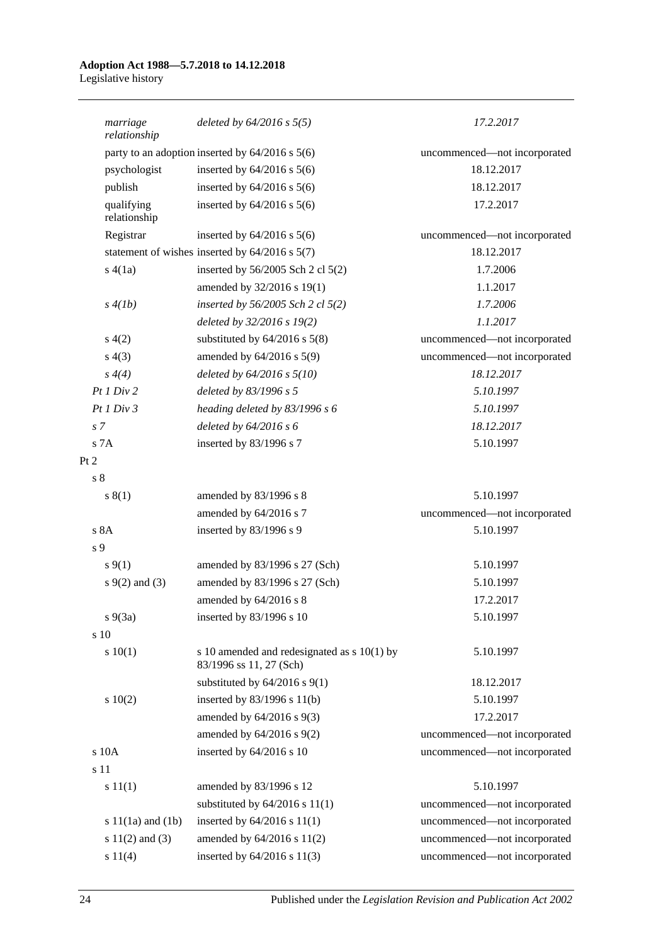#### **Adoption Act 1988—5.7.2018 to 14.12.2018** Legislative history

| marriage<br>relationship   | deleted by $64/2016$ s $5(5)$                                            | 17.2.2017                    |
|----------------------------|--------------------------------------------------------------------------|------------------------------|
|                            | party to an adoption inserted by $64/2016$ s $5(6)$                      | uncommenced-not incorporated |
| psychologist               | inserted by $64/2016$ s $5(6)$                                           | 18.12.2017                   |
| publish                    | inserted by $64/2016$ s $5(6)$                                           | 18.12.2017                   |
| qualifying<br>relationship | inserted by $64/2016$ s $5(6)$                                           | 17.2.2017                    |
| Registrar                  | inserted by $64/2016$ s $5(6)$                                           | uncommenced-not incorporated |
|                            | statement of wishes inserted by $64/2016$ s $5(7)$                       | 18.12.2017                   |
| s(4(a)                     | inserted by 56/2005 Sch 2 cl 5(2)                                        | 1.7.2006                     |
|                            | amended by 32/2016 s 19(1)                                               | 1.1.2017                     |
| s(4(lb))                   | inserted by $56/2005$ Sch 2 cl $5(2)$                                    | 1.7.2006                     |
|                            | deleted by 32/2016 s 19(2)                                               | 1.1.2017                     |
| s(4(2)                     | substituted by $64/2016$ s $5(8)$                                        | uncommenced-not incorporated |
| s(4(3))                    | amended by $64/2016$ s $5(9)$                                            | uncommenced-not incorporated |
| $s \, 4(4)$                | deleted by $64/2016$ s $5(10)$                                           | 18.12.2017                   |
| Pt1 Div2                   | deleted by 83/1996 s 5                                                   | 5.10.1997                    |
| Pt1 Div3                   | heading deleted by 83/1996 s 6                                           | 5.10.1997                    |
| s <sub>7</sub>             | deleted by $64/2016 s 6$                                                 | 18.12.2017                   |
| s 7A                       | inserted by 83/1996 s 7                                                  | 5.10.1997                    |
| Pt 2                       |                                                                          |                              |
| s <sub>8</sub>             |                                                                          |                              |
| s(1)                       | amended by 83/1996 s 8                                                   | 5.10.1997                    |
|                            | amended by 64/2016 s 7                                                   | uncommenced-not incorporated |
| s 8A                       | inserted by 83/1996 s 9                                                  | 5.10.1997                    |
| s 9                        |                                                                          |                              |
| $s \, 9(1)$                | amended by 83/1996 s 27 (Sch)                                            | 5.10.1997                    |
| $s \, 9(2)$ and (3)        | amended by 83/1996 s 27 (Sch)                                            | 5.10.1997                    |
|                            | amended by 64/2016 s 8                                                   | 17.2.2017                    |
| $s\ 9(3a)$                 | inserted by 83/1996 s 10                                                 | 5.10.1997                    |
| s 10                       |                                                                          |                              |
| 10(1)                      | s 10 amended and redesignated as $s$ 10(1) by<br>83/1996 ss 11, 27 (Sch) | 5.10.1997                    |
|                            | substituted by $64/2016$ s $9(1)$                                        | 18.12.2017                   |
| 10(2)                      | inserted by $83/1996$ s $11(b)$                                          | 5.10.1997                    |
|                            | amended by $64/2016$ s $9(3)$                                            | 17.2.2017                    |
|                            | amended by $64/2016$ s $9(2)$                                            | uncommenced—not incorporated |
| s 10A                      | inserted by 64/2016 s 10                                                 | uncommenced-not incorporated |
| s 11                       |                                                                          |                              |
| s 11(1)                    | amended by 83/1996 s 12                                                  | 5.10.1997                    |
|                            | substituted by $64/2016$ s $11(1)$                                       | uncommenced-not incorporated |
| s $11(1a)$ and $(1b)$      | inserted by $64/2016$ s $11(1)$                                          | uncommenced-not incorporated |
| s $11(2)$ and $(3)$        | amended by 64/2016 s 11(2)                                               | uncommenced-not incorporated |
| s 11(4)                    | inserted by 64/2016 s 11(3)                                              | uncommenced-not incorporated |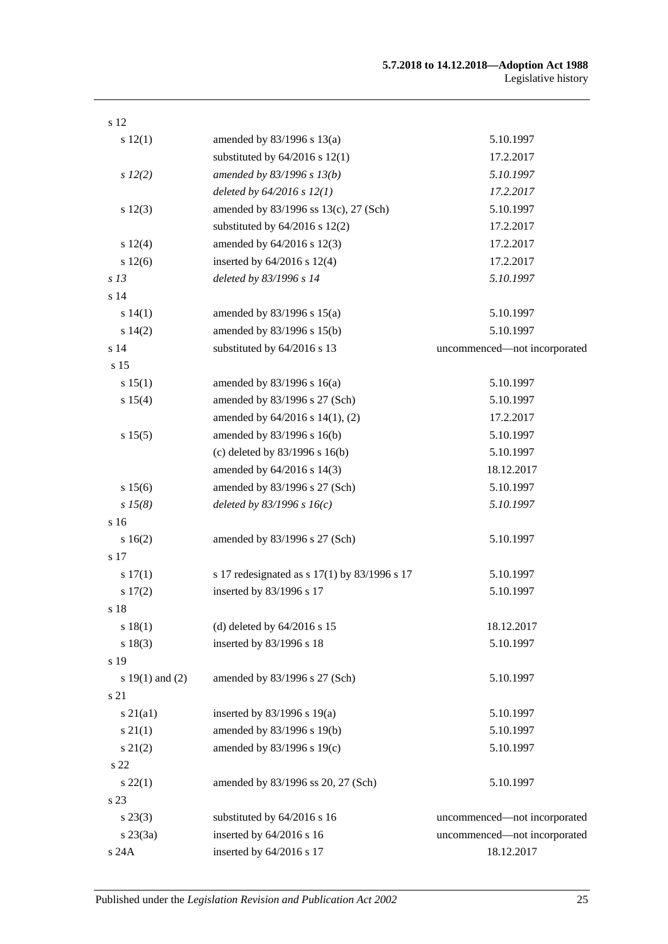| s 12                |                                              |                              |
|---------------------|----------------------------------------------|------------------------------|
| s 12(1)             | amended by $83/1996$ s $13(a)$               | 5.10.1997                    |
|                     | substituted by $64/2016$ s $12(1)$           | 17.2.2017                    |
| $s\ 12(2)$          | amended by 83/1996 s 13(b)                   | 5.10.1997                    |
|                     | deleted by $64/2016$ s $12(1)$               | 17.2.2017                    |
| s 12(3)             | amended by 83/1996 ss 13(c), 27 (Sch)        | 5.10.1997                    |
|                     | substituted by $64/2016$ s $12(2)$           | 17.2.2017                    |
| s 12(4)             | amended by 64/2016 s 12(3)                   | 17.2.2017                    |
| s 12(6)             | inserted by $64/2016$ s $12(4)$              | 17.2.2017                    |
| s <sub>13</sub>     | deleted by 83/1996 s 14                      | 5.10.1997                    |
| s <sub>14</sub>     |                                              |                              |
| s 14(1)             | amended by $83/1996$ s $15(a)$               | 5.10.1997                    |
| s 14(2)             | amended by 83/1996 s 15(b)                   | 5.10.1997                    |
| s <sub>14</sub>     | substituted by 64/2016 s 13                  | uncommenced-not incorporated |
| s 15                |                                              |                              |
| s 15(1)             | amended by $83/1996$ s $16(a)$               | 5.10.1997                    |
| s 15(4)             | amended by 83/1996 s 27 (Sch)                | 5.10.1997                    |
|                     | amended by 64/2016 s 14(1), (2)              | 17.2.2017                    |
| s 15(5)             | amended by 83/1996 s 16(b)                   | 5.10.1997                    |
|                     | (c) deleted by 83/1996 s 16(b)               | 5.10.1997                    |
|                     | amended by 64/2016 s 14(3)                   | 18.12.2017                   |
| s 15(6)             | amended by 83/1996 s 27 (Sch)                | 5.10.1997                    |
| $s\,15(8)$          | deleted by $83/1996 s 16(c)$                 | 5.10.1997                    |
| s <sub>16</sub>     |                                              |                              |
| s 16(2)             | amended by 83/1996 s 27 (Sch)                | 5.10.1997                    |
| s 17                |                                              |                              |
| s 17(1)             | s 17 redesignated as s 17(1) by 83/1996 s 17 | 5.10.1997                    |
| s 17(2)             | inserted by 83/1996 s 17                     | 5.10.1997                    |
| s 18                |                                              |                              |
| s 18(1)             | (d) deleted by $64/2016$ s 15                | 18.12.2017                   |
| s 18(3)             | inserted by 83/1996 s 18                     | 5.10.1997                    |
| s 19                |                                              |                              |
| s $19(1)$ and $(2)$ | amended by 83/1996 s 27 (Sch)                | 5.10.1997                    |
| s 21                |                                              |                              |
| $s\ 21(a1)$         | inserted by $83/1996$ s $19(a)$              | 5.10.1997                    |
| $s \, 21(1)$        | amended by 83/1996 s 19(b)                   | 5.10.1997                    |
| $s\ 21(2)$          | amended by 83/1996 s 19(c)                   | 5.10.1997                    |
| s 22                |                                              |                              |
| $s\,22(1)$          | amended by 83/1996 ss 20, 27 (Sch)           | 5.10.1997                    |
| s 23                |                                              |                              |
| $s\,23(3)$          | substituted by 64/2016 s 16                  | uncommenced-not incorporated |
| $s\,23(3a)$         | inserted by 64/2016 s 16                     | uncommenced-not incorporated |
| $\rm s$ 24A         | inserted by 64/2016 s 17                     | 18.12.2017                   |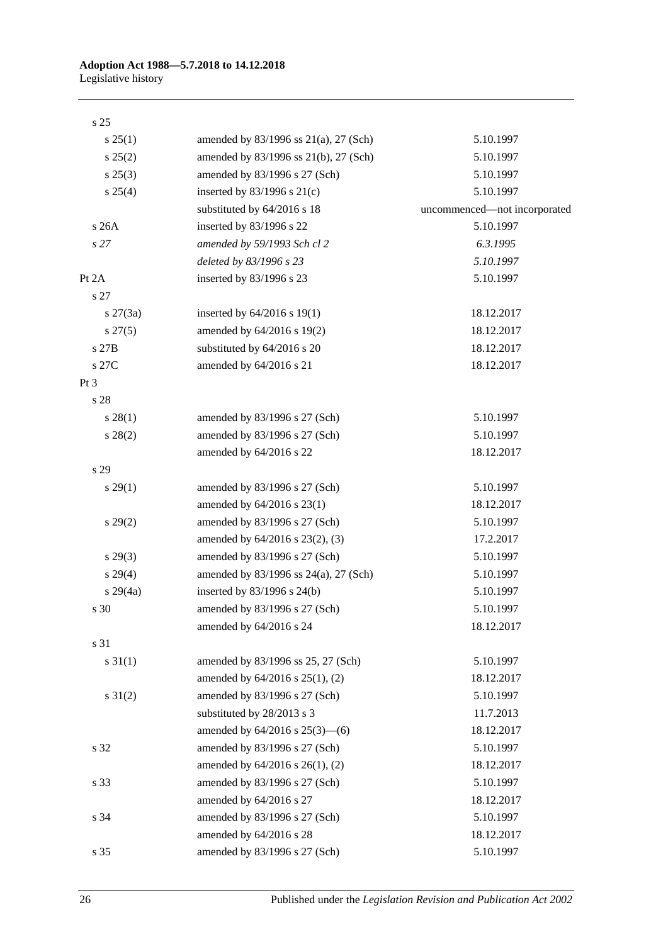#### s 25

| s 25(1)         | amended by 83/1996 ss 21(a), 27 (Sch)  | 5.10.1997                    |
|-----------------|----------------------------------------|------------------------------|
| s 25(2)         | amended by 83/1996 ss 21(b), 27 (Sch)  | 5.10.1997                    |
| s 25(3)         | amended by 83/1996 s 27 (Sch)          | 5.10.1997                    |
| $s \; 25(4)$    | inserted by $83/1996$ s $21(c)$        | 5.10.1997                    |
|                 | substituted by 64/2016 s 18            | uncommenced-not incorporated |
| s 26A           | inserted by 83/1996 s 22               | 5.10.1997                    |
| s27             | amended by 59/1993 Sch cl 2            | 6.3.1995                     |
|                 | deleted by 83/1996 s 23                | 5.10.1997                    |
| Pt 2A           | inserted by 83/1996 s 23               | 5.10.1997                    |
| s 27            |                                        |                              |
| $s \, 27(3a)$   | inserted by $64/2016$ s 19(1)          | 18.12.2017                   |
| $s\,27(5)$      | amended by 64/2016 s 19(2)             | 18.12.2017                   |
| s 27B           | substituted by 64/2016 s 20            | 18.12.2017                   |
| s 27C           | amended by 64/2016 s 21                | 18.12.2017                   |
| Pt <sub>3</sub> |                                        |                              |
| s 28            |                                        |                              |
| s 28(1)         | amended by 83/1996 s 27 (Sch)          | 5.10.1997                    |
| $s\,28(2)$      | amended by 83/1996 s 27 (Sch)          | 5.10.1997                    |
|                 | amended by 64/2016 s 22                | 18.12.2017                   |
| s 29            |                                        |                              |
| s 29(1)         | amended by 83/1996 s 27 (Sch)          | 5.10.1997                    |
|                 | amended by 64/2016 s 23(1)             | 18.12.2017                   |
| $s\,29(2)$      | amended by 83/1996 s 27 (Sch)          | 5.10.1997                    |
|                 | amended by 64/2016 s 23(2), (3)        | 17.2.2017                    |
| $s\,29(3)$      | amended by 83/1996 s 27 (Sch)          | 5.10.1997                    |
| s 29(4)         | amended by 83/1996 ss 24(a), 27 (Sch)  | 5.10.1997                    |
| $s\,29(4a)$     | inserted by 83/1996 s 24(b)            | 5.10.1997                    |
| s 30            | amended by 83/1996 s 27 (Sch)          | 5.10.1997                    |
|                 | amended by 64/2016 s 24                | 18.12.2017                   |
| s 31            |                                        |                              |
| $s \ 31(1)$     | amended by 83/1996 ss 25, 27 (Sch)     | 5.10.1997                    |
|                 | amended by 64/2016 s 25(1), (2)        | 18.12.2017                   |
| $s \, 31(2)$    | amended by 83/1996 s 27 (Sch)          | 5.10.1997                    |
|                 | substituted by 28/2013 s 3             | 11.7.2013                    |
|                 | amended by $64/2016$ s $25(3)$ — $(6)$ | 18.12.2017                   |
| s 32            | amended by 83/1996 s 27 (Sch)          | 5.10.1997                    |
|                 | amended by 64/2016 s 26(1), (2)        | 18.12.2017                   |
| s 33            | amended by 83/1996 s 27 (Sch)          | 5.10.1997                    |
|                 | amended by 64/2016 s 27                | 18.12.2017                   |
| s 34            | amended by 83/1996 s 27 (Sch)          | 5.10.1997                    |
|                 | amended by 64/2016 s 28                | 18.12.2017                   |
| s 35            | amended by 83/1996 s 27 (Sch)          | 5.10.1997                    |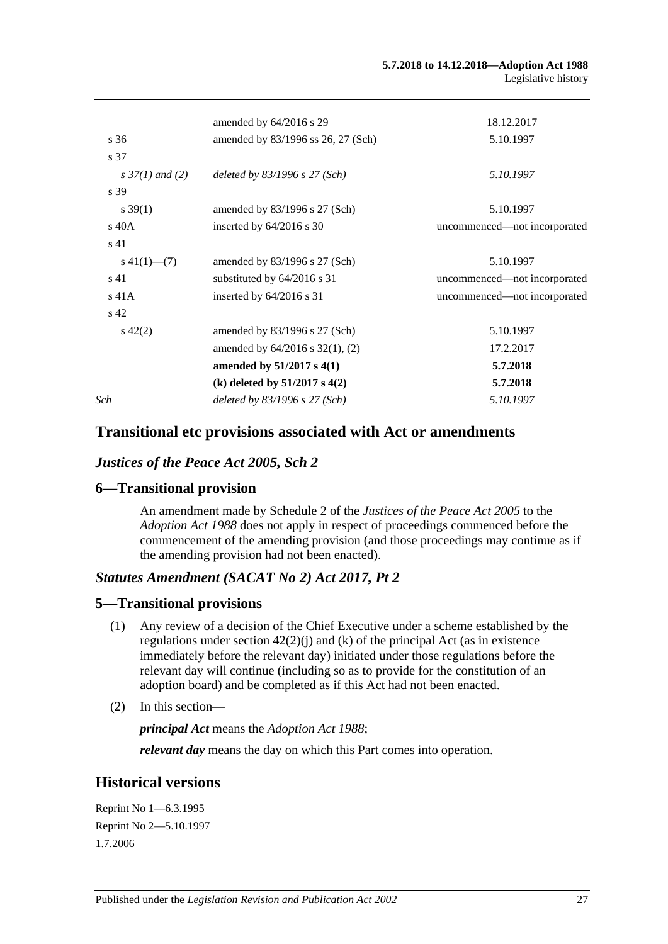|                    | amended by $64/2016$ s 29            | 18.12.2017                   |
|--------------------|--------------------------------------|------------------------------|
| s 36               | amended by 83/1996 ss 26, 27 (Sch)   | 5.10.1997                    |
| s 37               |                                      |                              |
| s $37(1)$ and (2)  | deleted by $83/1996$ s $27$ (Sch)    | 5.10.1997                    |
| s 39               |                                      |                              |
| $s \, 39(1)$       | amended by $83/1996$ s 27 (Sch)      | 5.10.1997                    |
| $\rm s$ 40A        | inserted by $64/2016$ s 30           | uncommenced—not incorporated |
| s <sub>41</sub>    |                                      |                              |
| $s\ 41(1)$ — $(7)$ | amended by $83/1996$ s 27 (Sch)      | 5.10.1997                    |
| s 41               | substituted by $64/2016$ s 31        | uncommenced-not incorporated |
| $s$ 41 $A$         | inserted by $64/2016$ s 31           | uncommenced—not incorporated |
| s <sub>42</sub>    |                                      |                              |
| $s\ 42(2)$         | amended by $83/1996$ s 27 (Sch)      | 5.10.1997                    |
|                    | amended by $64/2016$ s $32(1)$ , (2) | 17.2.2017                    |
|                    | amended by 51/2017 s 4(1)            | 5.7.2018                     |
|                    | (k) deleted by $51/2017$ s $4(2)$    | 5.7.2018                     |
| Sch                | deleted by $83/1996$ s $27$ (Sch)    | 5.10.1997                    |
|                    |                                      |                              |

## **Transitional etc provisions associated with Act or amendments**

## *Justices of the Peace Act 2005, Sch 2*

## **6—Transitional provision**

An amendment made by Schedule 2 of the *[Justices of the Peace Act](http://www.legislation.sa.gov.au/index.aspx?action=legref&type=act&legtitle=Justices%20of%20the%20Peace%20Act%202005) 2005* to the *[Adoption Act](http://www.legislation.sa.gov.au/index.aspx?action=legref&type=act&legtitle=Adoption%20Act%201988) 1988* does not apply in respect of proceedings commenced before the commencement of the amending provision (and those proceedings may continue as if the amending provision had not been enacted).

## *Statutes Amendment (SACAT No 2) Act 2017, Pt 2*

## **5—Transitional provisions**

- (1) Any review of a decision of the Chief Executive under a scheme established by the regulations under section  $42(2)(i)$  and (k) of the principal Act (as in existence immediately before the relevant day) initiated under those regulations before the relevant day will continue (including so as to provide for the constitution of an adoption board) and be completed as if this Act had not been enacted.
- (2) In this section—

*principal Act* means the *[Adoption Act](http://www.legislation.sa.gov.au/index.aspx?action=legref&type=act&legtitle=Adoption%20Act%201988) 1988*;

*relevant day* means the day on which this Part comes into operation.

## **Historical versions**

Reprint No 1—6.3.1995 Reprint No 2—5.10.1997 1.7.2006